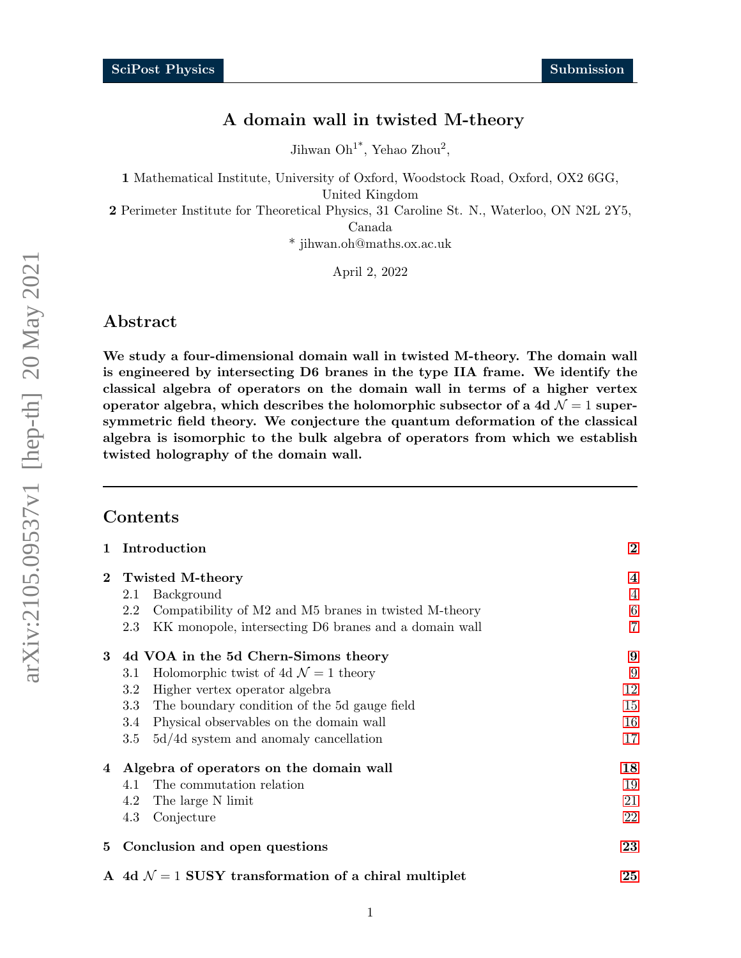# A domain wall in twisted M-theory

Jihwan  $\mathrm{Oh}^{1*}$ , Yehao Zhou<sup>2</sup>,

1 Mathematical Institute, University of Oxford, Woodstock Road, Oxford, OX2 6GG,

United Kingdom

2 Perimeter Institute for Theoretical Physics, 31 Caroline St. N., Waterloo, ON N2L 2Y5,

Canada

\* jihwan.oh@maths.ox.ac.uk

April 2, 2022

# Abstract

We study a four-dimensional domain wall in twisted M-theory. The domain wall is engineered by intersecting D6 branes in the type IIA frame. We identify the classical algebra of operators on the domain wall in terms of a higher vertex operator algebra, which describes the holomorphic subsector of a 4d  $\mathcal{N}=1$  supersymmetric field theory. We conjecture the quantum deformation of the classical algebra is isomorphic to the bulk algebra of operators from which we establish twisted holography of the domain wall.

### Contents

| $\mathbf{1}$ | Introduction                                                           | $\bf{2}$       |  |  |  |  |
|--------------|------------------------------------------------------------------------|----------------|--|--|--|--|
| $\mathbf{2}$ | Twisted M-theory                                                       |                |  |  |  |  |
|              | Background<br>2.1                                                      | $\overline{4}$ |  |  |  |  |
|              | Compatibility of M2 and M5 branes in twisted M-theory<br>2.2           | 6              |  |  |  |  |
|              | KK monopole, intersecting D6 branes and a domain wall<br>2.3           | $\overline{7}$ |  |  |  |  |
| $\bf{3}$     | 4d VOA in the 5d Chern-Simons theory                                   | 9              |  |  |  |  |
|              | Holomorphic twist of 4d $\mathcal{N}=1$ theory<br>3.1                  | 9              |  |  |  |  |
|              | Higher vertex operator algebra<br>3.2                                  | 12             |  |  |  |  |
|              | The boundary condition of the 5d gauge field<br>3.3                    | 15             |  |  |  |  |
|              | Physical observables on the domain wall<br>3.4                         | 16             |  |  |  |  |
|              | $5d/4d$ system and anomaly cancellation<br>3.5                         | 17             |  |  |  |  |
| 4            | Algebra of operators on the domain wall                                | 18             |  |  |  |  |
|              | The commutation relation<br>4.1                                        | 19             |  |  |  |  |
|              | The large N limit<br>4.2                                               | 21             |  |  |  |  |
|              | Conjecture<br>4.3                                                      | 22             |  |  |  |  |
| 5            | 23                                                                     |                |  |  |  |  |
|              | A 4d $\mathcal{N} = 1$ SUSY transformation of a chiral multiplet<br>25 |                |  |  |  |  |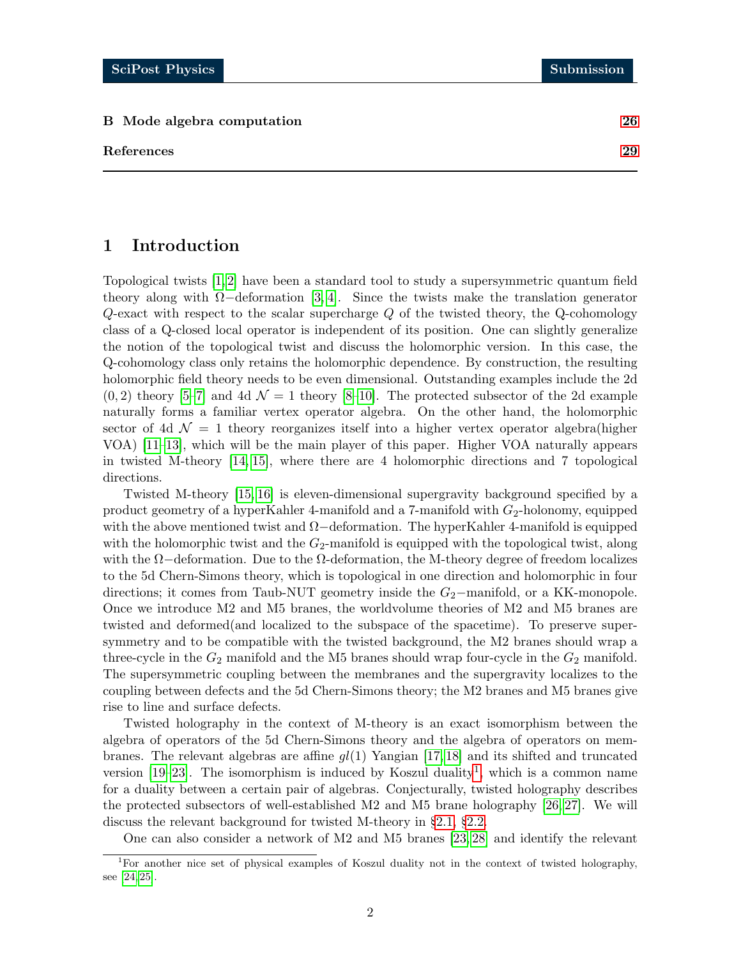#### B Mode algebra computation [26](#page-25-0)

# <span id="page-1-0"></span>1 Introduction

Topological twists [\[1,](#page-28-1) [2\]](#page-28-2) have been a standard tool to study a supersymmetric quantum field theory along with  $\Omega$ −deformation [\[3,](#page-28-3) [4\]](#page-28-4). Since the twists make the translation generator  $Q$ -exact with respect to the scalar supercharge  $Q$  of the twisted theory, the  $Q$ -cohomology class of a Q-closed local operator is independent of its position. One can slightly generalize the notion of the topological twist and discuss the holomorphic version. In this case, the Q-cohomology class only retains the holomorphic dependence. By construction, the resulting holomorphic field theory needs to be even dimensional. Outstanding examples include the 2d  $(0, 2)$  theory [\[5–](#page-28-5)[7\]](#page-28-6) and 4d  $\mathcal{N} = 1$  theory [\[8–](#page-28-7)[10\]](#page-28-8). The protected subsector of the 2d example naturally forms a familiar vertex operator algebra. On the other hand, the holomorphic sector of 4d  $\mathcal{N} = 1$  theory reorganizes itself into a higher vertex operator algebra(higher VOA) [\[11–](#page-28-9)[13\]](#page-29-0), which will be the main player of this paper. Higher VOA naturally appears in twisted M-theory [\[14,](#page-29-1) [15\]](#page-29-2), where there are 4 holomorphic directions and 7 topological directions.

Twisted M-theory [\[15,](#page-29-2) [16\]](#page-29-3) is eleven-dimensional supergravity background specified by a product geometry of a hyperKahler 4-manifold and a 7-manifold with  $G_2$ -holonomy, equipped with the above mentioned twist and  $\Omega$ −deformation. The hyperKahler 4-manifold is equipped with the holomorphic twist and the  $G_2$ -manifold is equipped with the topological twist, along with the  $\Omega$ –deformation. Due to the  $\Omega$ -deformation, the M-theory degree of freedom localizes to the 5d Chern-Simons theory, which is topological in one direction and holomorphic in four directions; it comes from Taub-NUT geometry inside the  $G_2$ −manifold, or a KK-monopole. Once we introduce M2 and M5 branes, the worldvolume theories of M2 and M5 branes are twisted and deformed(and localized to the subspace of the spacetime). To preserve supersymmetry and to be compatible with the twisted background, the M2 branes should wrap a three-cycle in the  $G_2$  manifold and the M5 branes should wrap four-cycle in the  $G_2$  manifold. The supersymmetric coupling between the membranes and the supergravity localizes to the coupling between defects and the 5d Chern-Simons theory; the M2 branes and M5 branes give rise to line and surface defects.

Twisted holography in the context of M-theory is an exact isomorphism between the algebra of operators of the 5d Chern-Simons theory and the algebra of operators on membranes. The relevant algebras are affine  $gl(1)$  Yangian [\[17,](#page-29-4) [18\]](#page-29-5) and its shifted and truncated version  $[19-23]$  $[19-23]$ . The isomorphism is induced by Koszul duality<sup>[1](#page-1-1)</sup>, which is a common name for a duality between a certain pair of algebras. Conjecturally, twisted holography describes the protected subsectors of well-established M2 and M5 brane holography [\[26,](#page-29-8) [27\]](#page-29-9). We will discuss the relevant background for twisted M-theory in §[2.1,](#page-3-1) §[2.2.](#page-5-0)

<span id="page-1-1"></span>One can also consider a network of M2 and M5 branes [\[23,](#page-29-7) [28\]](#page-29-10) and identify the relevant

<sup>1</sup>For another nice set of physical examples of Koszul duality not in the context of twisted holography, see [\[24,](#page-29-11) [25\]](#page-29-12).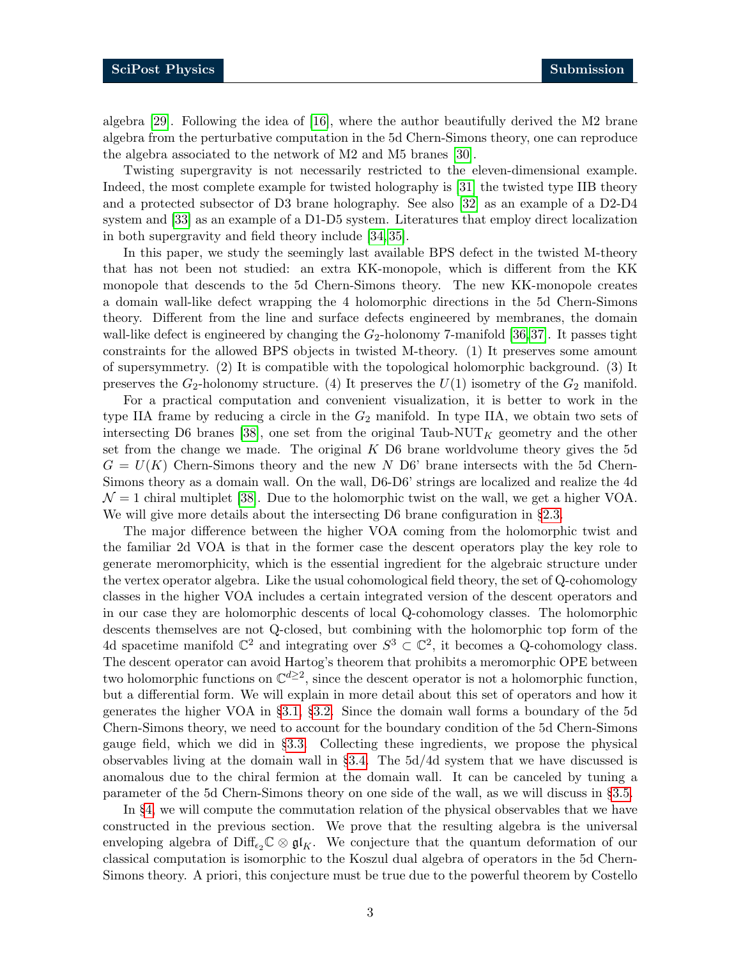algebra [\[29\]](#page-29-13). Following the idea of [\[16\]](#page-29-3), where the author beautifully derived the M2 brane algebra from the perturbative computation in the 5d Chern-Simons theory, one can reproduce the algebra associated to the network of M2 and M5 branes [\[30\]](#page-30-0).

Twisting supergravity is not necessarily restricted to the eleven-dimensional example. Indeed, the most complete example for twisted holography is [\[31\]](#page-30-1) the twisted type IIB theory and a protected subsector of D3 brane holography. See also [\[32\]](#page-30-2) as an example of a D2-D4 system and [\[33\]](#page-30-3) as an example of a D1-D5 system. Literatures that employ direct localization in both supergravity and field theory include [\[34,](#page-30-4) [35\]](#page-30-5).

In this paper, we study the seemingly last available BPS defect in the twisted M-theory that has not been not studied: an extra KK-monopole, which is different from the KK monopole that descends to the 5d Chern-Simons theory. The new KK-monopole creates a domain wall-like defect wrapping the 4 holomorphic directions in the 5d Chern-Simons theory. Different from the line and surface defects engineered by membranes, the domain wall-like defect is engineered by changing the  $G_2$ -holonomy 7-manifold [\[36,](#page-30-6)[37\]](#page-30-7). It passes tight constraints for the allowed BPS objects in twisted M-theory. (1) It preserves some amount of supersymmetry. (2) It is compatible with the topological holomorphic background. (3) It preserves the  $G_2$ -holonomy structure. (4) It preserves the  $U(1)$  isometry of the  $G_2$  manifold.

For a practical computation and convenient visualization, it is better to work in the type IIA frame by reducing a circle in the  $G_2$  manifold. In type IIA, we obtain two sets of intersecting D6 branes [\[38\]](#page-30-8), one set from the original Taub-NUT<sub>K</sub> geometry and the other set from the change we made. The original  $K$  D6 brane worldvolume theory gives the 5d  $G = U(K)$  Chern-Simons theory and the new N D6' brane intersects with the 5d Chern-Simons theory as a domain wall. On the wall, D6-D6' strings are localized and realize the 4d  $\mathcal{N} = 1$  chiral multiplet [\[38\]](#page-30-8). Due to the holomorphic twist on the wall, we get a higher VOA. We will give more details about the intersecting D6 brane configuration in  $\S 2.3$ .

The major difference between the higher VOA coming from the holomorphic twist and the familiar 2d VOA is that in the former case the descent operators play the key role to generate meromorphicity, which is the essential ingredient for the algebraic structure under the vertex operator algebra. Like the usual cohomological field theory, the set of Q-cohomology classes in the higher VOA includes a certain integrated version of the descent operators and in our case they are holomorphic descents of local Q-cohomology classes. The holomorphic descents themselves are not Q-closed, but combining with the holomorphic top form of the 4d spacetime manifold  $\mathbb{C}^2$  and integrating over  $S^3 \subset \mathbb{C}^2$ , it becomes a Q-cohomology class. The descent operator can avoid Hartog's theorem that prohibits a meromorphic OPE between two holomorphic functions on  $\mathbb{C}^{d\geq 2}$ , since the descent operator is not a holomorphic function, but a differential form. We will explain in more detail about this set of operators and how it generates the higher VOA in §[3.1,](#page-8-1) §[3.2.](#page-11-0) Since the domain wall forms a boundary of the 5d Chern-Simons theory, we need to account for the boundary condition of the 5d Chern-Simons gauge field, which we did in §[3.3.](#page-14-0) Collecting these ingredients, we propose the physical observables living at the domain wall in §[3.4.](#page-15-0) The 5d/4d system that we have discussed is anomalous due to the chiral fermion at the domain wall. It can be canceled by tuning a parameter of the 5d Chern-Simons theory on one side of the wall, as we will discuss in §[3.5.](#page-16-0)

In §[4,](#page-17-0) we will compute the commutation relation of the physical observables that we have constructed in the previous section. We prove that the resulting algebra is the universal enveloping algebra of Diff<sub> $\epsilon_2\mathbb{C}\otimes\mathfrak{gl}_K$ . We conjecture that the quantum deformation of our</sub> classical computation is isomorphic to the Koszul dual algebra of operators in the 5d Chern-Simons theory. A priori, this conjecture must be true due to the powerful theorem by Costello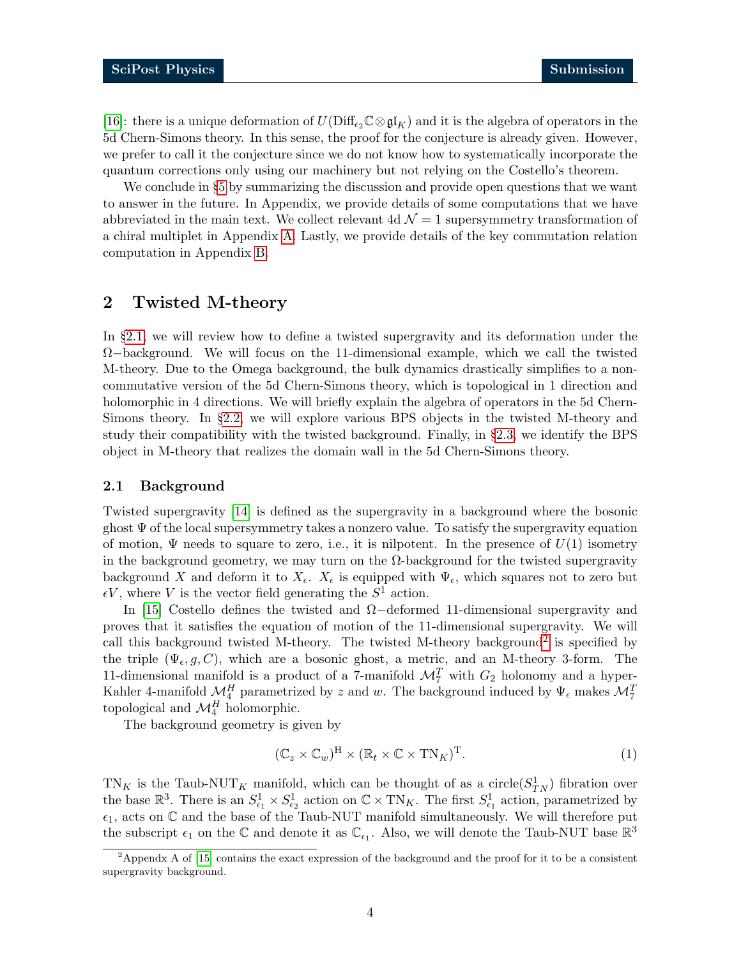[\[16\]](#page-29-3): there is a unique deformation of  $U(\text{Diff}_{\epsilon_2}\mathbb{C}\otimes\mathfrak{gl}_K)$  and it is the algebra of operators in the 5d Chern-Simons theory. In this sense, the proof for the conjecture is already given. However, we prefer to call it the conjecture since we do not know how to systematically incorporate the quantum corrections only using our machinery but not relying on the Costello's theorem.

We conclude in §[5](#page-22-0) by summarizing the discussion and provide open questions that we want to answer in the future. In Appendix, we provide details of some computations that we have abbreviated in the main text. We collect relevant 4d  $\mathcal{N}=1$  supersymmetry transformation of a chiral multiplet in Appendix [A.](#page-24-0) Lastly, we provide details of the key commutation relation computation in Appendix [B.](#page-25-0)

# <span id="page-3-0"></span>2 Twisted M-theory

In §[2.1,](#page-3-1) we will review how to define a twisted supergravity and its deformation under the  $\Omega$ −background. We will focus on the 11-dimensional example, which we call the twisted M-theory. Due to the Omega background, the bulk dynamics drastically simplifies to a noncommutative version of the 5d Chern-Simons theory, which is topological in 1 direction and holomorphic in 4 directions. We will briefly explain the algebra of operators in the 5d Chern-Simons theory. In §[2.2,](#page-5-0) we will explore various BPS objects in the twisted M-theory and study their compatibility with the twisted background. Finally, in §[2.3,](#page-6-0) we identify the BPS object in M-theory that realizes the domain wall in the 5d Chern-Simons theory.

#### <span id="page-3-1"></span>2.1 Background

Twisted supergravity [\[14\]](#page-29-1) is defined as the supergravity in a background where the bosonic ghost  $\Psi$  of the local supersymmetry takes a nonzero value. To satisfy the supergravity equation of motion,  $\Psi$  needs to square to zero, i.e., it is nilpotent. In the presence of  $U(1)$  isometry in the background geometry, we may turn on the  $\Omega$ -background for the twisted supergravity background X and deform it to  $X_{\epsilon}$ .  $X_{\epsilon}$  is equipped with  $\Psi_{\epsilon}$ , which squares not to zero but  $\epsilon V$ , where V is the vector field generating the  $S^1$  action.

In [\[15\]](#page-29-2) Costello defines the twisted and Ω−deformed 11-dimensional supergravity and proves that it satisfies the equation of motion of the 11-dimensional supergravity. We will call this background twisted M-theory. The twisted M-theory background<sup>[2](#page-3-2)</sup> is specified by the triple  $(\Psi_{\epsilon}, g, C)$ , which are a bosonic ghost, a metric, and an M-theory 3-form. The 11-dimensional manifold is a product of a 7-manifold  $\mathcal{M}_7^T$  with  $G_2$  holonomy and a hyper-Kahler 4-manifold  $\mathcal{M}_4^H$  parametrized by z and w. The background induced by  $\Psi_\epsilon$  makes  $\mathcal{M}_7^T$ topological and  $\mathcal{M}_4^H$  holomorphic.

The background geometry is given by

$$
(\mathbb{C}_z \times \mathbb{C}_w)^{\mathcal{H}} \times (\mathbb{R}_t \times \mathbb{C} \times \mathcal{T} \mathcal{N}_K)^{\mathcal{T}}.
$$
 (1)

 $TN_K$  is the Taub-NUT<sub>K</sub> manifold, which can be thought of as a circle( $S_{TN}^1$ ) fibration over the base  $\mathbb{R}^3$ . There is an  $S^1_{\epsilon_1} \times S^1_{\epsilon_2}$  action on  $\mathbb{C} \times \text{TN}_K$ . The first  $S^1_{\epsilon_1}$  action, parametrized by  $\epsilon_1$ , acts on  $\mathbb C$  and the base of the Taub-NUT manifold simultaneously. We will therefore put the subscript  $\epsilon_1$  on the  $\mathbb C$  and denote it as  $\mathbb C_{\epsilon_1}$ . Also, we will denote the Taub-NUT base  $\mathbb R^3$ 

<span id="page-3-2"></span><sup>&</sup>lt;sup>2</sup>Appendx A of [\[15\]](#page-29-2) contains the exact expression of the background and the proof for it to be a consistent supergravity background.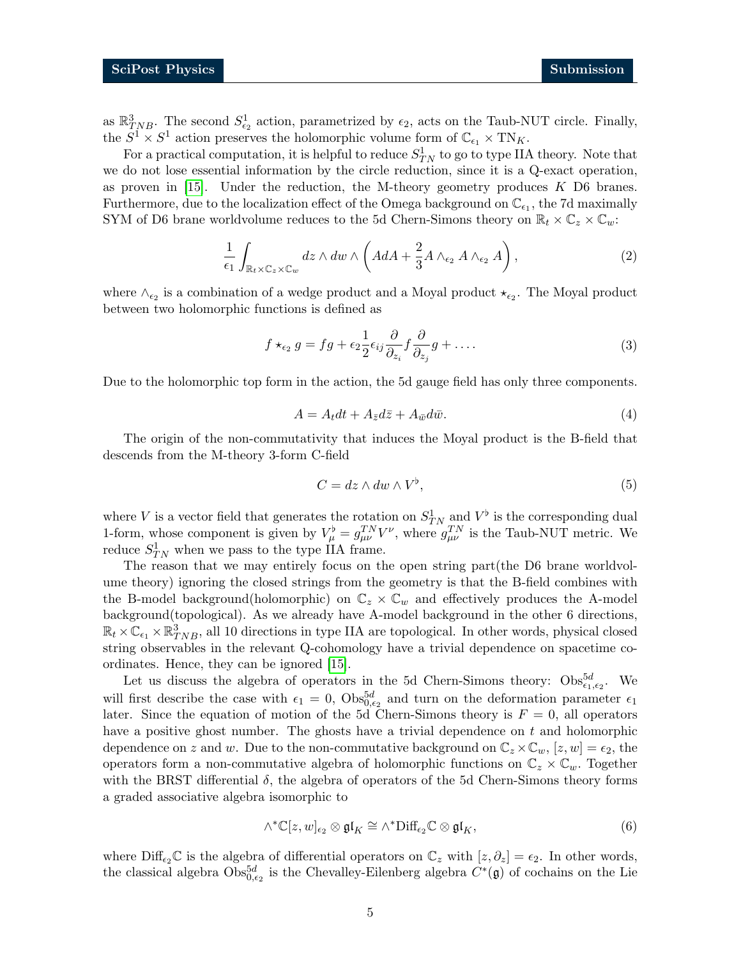as  $\mathbb{R}^3_{TNB}$ . The second  $S^1_{\epsilon_2}$  action, parametrized by  $\epsilon_2$ , acts on the Taub-NUT circle. Finally, the  $S^1 \times S^1$  action preserves the holomorphic volume form of  $\mathbb{C}_{\epsilon_1} \times \text{TN}_K$ .

For a practical computation, it is helpful to reduce  $S_{TN}^1$  to go to type IIA theory. Note that we do not lose essential information by the circle reduction, since it is a Q-exact operation, as proven in  $[15]$ . Under the reduction, the M-theory geometry produces K D6 branes. Furthermore, due to the localization effect of the Omega background on  $\mathbb{C}_{\epsilon_1}$ , the 7d maximally SYM of D6 brane worldvolume reduces to the 5d Chern-Simons theory on  $\mathbb{R}_t \times \mathbb{C}_z \times \mathbb{C}_w$ :

$$
\frac{1}{\epsilon_1} \int_{\mathbb{R}_t \times \mathbb{C}_z \times \mathbb{C}_w} dz \wedge dw \wedge \left( AdA + \frac{2}{3} A \wedge_{\epsilon_2} A \wedge_{\epsilon_2} A \right), \tag{2}
$$

where  $\wedge_{\epsilon_2}$  is a combination of a wedge product and a Moyal product  $\star_{\epsilon_2}$ . The Moyal product between two holomorphic functions is defined as

$$
f \star_{\epsilon_2} g = fg + \epsilon_2 \frac{1}{2} \epsilon_{ij} \frac{\partial}{\partial_{z_i}} f \frac{\partial}{\partial_{z_j}} g + \dots
$$
 (3)

Due to the holomorphic top form in the action, the 5d gauge field has only three components.

$$
A = A_t dt + A_{\bar{z}} d\bar{z} + A_{\bar{w}} d\bar{w}.
$$
\n<sup>(4)</sup>

The origin of the non-commutativity that induces the Moyal product is the B-field that descends from the M-theory 3-form C-field

$$
C = dz \wedge dw \wedge V^{\flat}, \tag{5}
$$

where V is a vector field that generates the rotation on  $S_{TN}^1$  and  $V^{\flat}$  is the corresponding dual 1-form, whose component is given by  $V^{\flat}_{\mu} = g_{\mu\nu}^{TN} V^{\nu}$ , where  $g_{\mu\nu}^{TN}$  is the Taub-NUT metric. We reduce  $S_{TN}^1$  when we pass to the type IIA frame.

The reason that we may entirely focus on the open string part(the D6 brane worldvolume theory) ignoring the closed strings from the geometry is that the B-field combines with the B-model background(holomorphic) on  $\mathbb{C}_z \times \mathbb{C}_w$  and effectively produces the A-model background(topological). As we already have A-model background in the other 6 directions,  $\mathbb{R}_t \times \mathbb{C}_{\epsilon_1} \times \mathbb{R}_{TNB}^3$ , all 10 directions in type IIA are topological. In other words, physical closed string observables in the relevant Q-cohomology have a trivial dependence on spacetime coordinates. Hence, they can be ignored [\[15\]](#page-29-2).

Let us discuss the algebra of operators in the 5d Chern-Simons theory:  $\text{Obs}_{\epsilon_1,\epsilon_2}^{5d}$ . We will first describe the case with  $\epsilon_1 = 0$ ,  $\text{Obs}_{0,\epsilon_2}^{5d}$  and turn on the deformation parameter  $\epsilon_1$ later. Since the equation of motion of the 5d Chern-Simons theory is  $F = 0$ , all operators have a positive ghost number. The ghosts have a trivial dependence on  $t$  and holomorphic dependence on z and w. Due to the non-commutative background on  $\mathbb{C}_z \times \mathbb{C}_w$ ,  $[z, w] = \epsilon_2$ , the operators form a non-commutative algebra of holomorphic functions on  $\mathbb{C}_z \times \mathbb{C}_w$ . Together with the BRST differential  $\delta$ , the algebra of operators of the 5d Chern-Simons theory forms a graded associative algebra isomorphic to

$$
\wedge^* \mathbb{C}[z, w]_{\epsilon_2} \otimes \mathfrak{gl}_K \cong \wedge^* \text{Diff}_{\epsilon_2} \mathbb{C} \otimes \mathfrak{gl}_K, \tag{6}
$$

where  $\text{Diff}_{\epsilon_2}\mathbb{C}$  is the algebra of differential operators on  $\mathbb{C}_z$  with  $[z, \partial_z] = \epsilon_2$ . In other words, the classical algebra  $\text{Obs}_{0,\epsilon_2}^{5d}$  is the Chevalley-Eilenberg algebra  $C^*(\mathfrak{g})$  of cochains on the Lie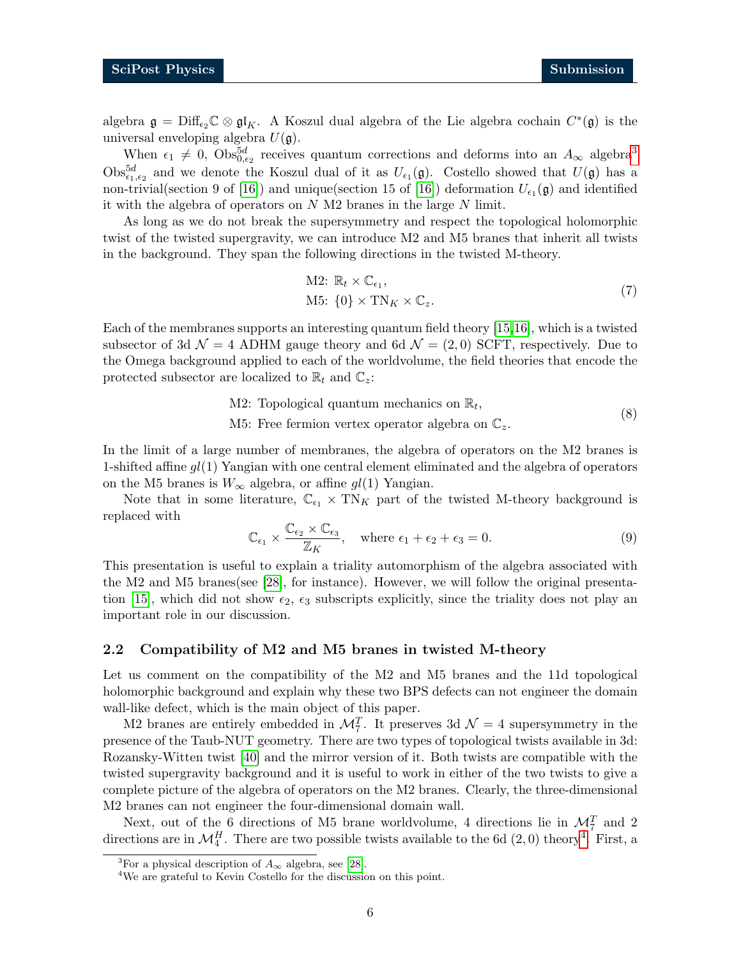algebra  $\mathfrak{g} = \text{Diff}_{\epsilon_2} \mathbb{C} \otimes \mathfrak{gl}_K$ . A Koszul dual algebra of the Lie algebra cochain  $C^*(\mathfrak{g})$  is the universal enveloping algebra  $U(\mathfrak{g})$ .

When  $\epsilon_1 \neq 0$ ,  $\text{Obs}_{0,\epsilon_2}^{5d}$  receives quantum corrections and deforms into an  $A_{\infty}$  algebra<sup>[3](#page-5-1)</sup>  $\text{Obs}_{\epsilon_1,\epsilon_2}^{5d}$  and we denote the Koszul dual of it as  $U_{\epsilon_1}(\mathfrak{g})$ . Costello showed that  $U(\mathfrak{g})$  has a non-trivial(section 9 of [\[16\]](#page-29-3)) and unique(section 15 of [16]) deformation  $U_{\epsilon_1}(\mathfrak{g})$  and identified it with the algebra of operators on  $N$  M2 branes in the large  $N$  limit.

As long as we do not break the supersymmetry and respect the topological holomorphic twist of the twisted supergravity, we can introduce M2 and M5 branes that inherit all twists in the background. They span the following directions in the twisted M-theory.

<span id="page-5-3"></span>M2: 
$$
\mathbb{R}_t \times \mathbb{C}_{\epsilon_1}
$$
,  
M5:  $\{0\} \times \text{TN}_K \times \mathbb{C}_z$ . (7)

Each of the membranes supports an interesting quantum field theory [\[15,](#page-29-2)[16\]](#page-29-3), which is a twisted subsector of 3d  $\mathcal{N} = 4$  ADHM gauge theory and 6d  $\mathcal{N} = (2,0)$  SCFT, respectively. Due to the Omega background applied to each of the worldvolume, the field theories that encode the protected subsector are localized to  $\mathbb{R}_t$  and  $\mathbb{C}_z$ :

> M2: Topological quantum mechanics on  $\mathbb{R}_t$ , (8)

M5: Free fermion vertex operator algebra on  $\mathbb{C}_z$ .

In the limit of a large number of membranes, the algebra of operators on the M2 branes is 1-shifted affine  $gl(1)$  Yangian with one central element eliminated and the algebra of operators on the M5 branes is  $W_{\infty}$  algebra, or affine  $gl(1)$  Yangian.

Note that in some literature,  $\mathbb{C}_{\epsilon_1} \times \text{TN}_K$  part of the twisted M-theory background is replaced with

$$
\mathbb{C}_{\epsilon_1} \times \frac{\mathbb{C}_{\epsilon_2} \times \mathbb{C}_{\epsilon_3}}{\mathbb{Z}_K}, \quad \text{where } \epsilon_1 + \epsilon_2 + \epsilon_3 = 0. \tag{9}
$$

This presentation is useful to explain a triality automorphism of the algebra associated with the M2 and M5 branes(see [\[28\]](#page-29-10), for instance). However, we will follow the original presenta-tion [\[15\]](#page-29-2), which did not show  $\epsilon_2$ ,  $\epsilon_3$  subscripts explicitly, since the triality does not play an important role in our discussion.

#### <span id="page-5-0"></span>2.2 Compatibility of M2 and M5 branes in twisted M-theory

Let us comment on the compatibility of the M2 and M5 branes and the 11d topological holomorphic background and explain why these two BPS defects can not engineer the domain wall-like defect, which is the main object of this paper.

M2 branes are entirely embedded in  $\mathcal{M}_7^T$ . It preserves 3d  $\mathcal{N}=4$  supersymmetry in the presence of the Taub-NUT geometry. There are two types of topological twists available in 3d: Rozansky-Witten twist [\[40\]](#page-30-9) and the mirror version of it. Both twists are compatible with the twisted supergravity background and it is useful to work in either of the two twists to give a complete picture of the algebra of operators on the M2 branes. Clearly, the three-dimensional M2 branes can not engineer the four-dimensional domain wall.

Next, out of the 6 directions of M5 brane worldvolume, 4 directions lie in  $\mathcal{M}_7^T$  and 2 directions are in  $\mathcal{M}_4^H$  $\mathcal{M}_4^H$  $\mathcal{M}_4^H$ . There are two possible twists available to the 6d  $(2,0)$  theory<sup>4</sup>. First, a

<span id="page-5-1"></span><sup>&</sup>lt;sup>3</sup>For a physical description of  $A_{\infty}$  algebra, see [\[28\]](#page-29-10).

<span id="page-5-2"></span><sup>&</sup>lt;sup>4</sup>We are grateful to Kevin Costello for the discussion on this point.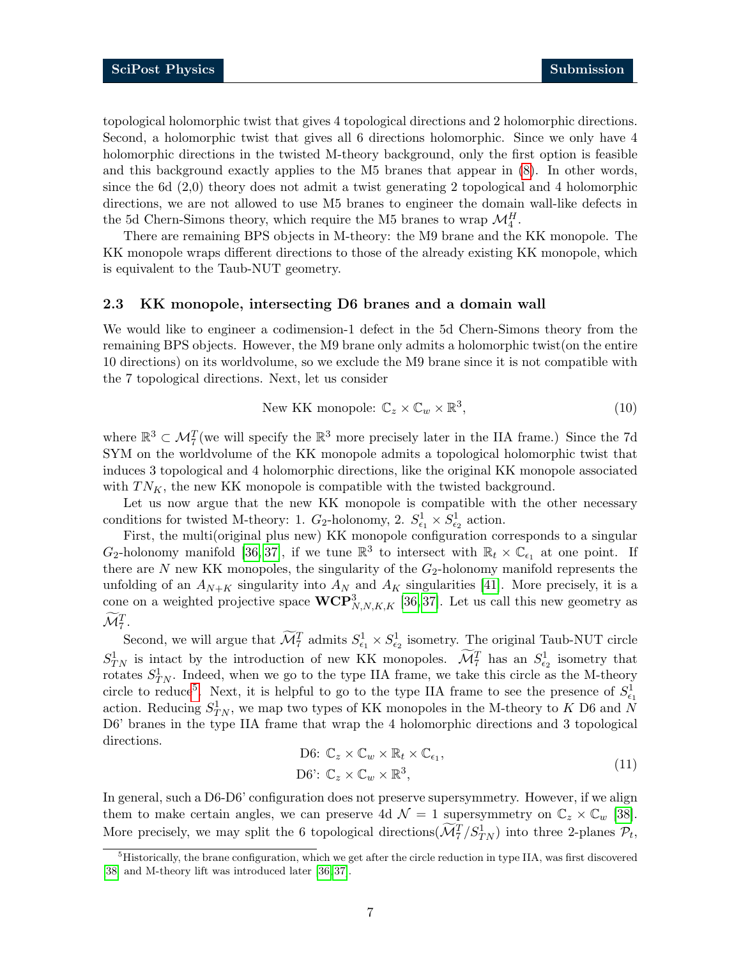topological holomorphic twist that gives 4 topological directions and 2 holomorphic directions. Second, a holomorphic twist that gives all 6 directions holomorphic. Since we only have 4 holomorphic directions in the twisted M-theory background, only the first option is feasible and this background exactly applies to the M5 branes that appear in [\(8\)](#page-5-3). In other words, since the 6d (2,0) theory does not admit a twist generating 2 topological and 4 holomorphic directions, we are not allowed to use M5 branes to engineer the domain wall-like defects in the 5d Chern-Simons theory, which require the M5 branes to wrap  $\mathcal{M}_4^H$ .

There are remaining BPS objects in M-theory: the M9 brane and the KK monopole. The KK monopole wraps different directions to those of the already existing KK monopole, which is equivalent to the Taub-NUT geometry.

#### <span id="page-6-0"></span>2.3 KK monopole, intersecting D6 branes and a domain wall

We would like to engineer a codimension-1 defect in the 5d Chern-Simons theory from the remaining BPS objects. However, the M9 brane only admits a holomorphic twist(on the entire 10 directions) on its worldvolume, so we exclude the M9 brane since it is not compatible with the 7 topological directions. Next, let us consider

New KK monopole: 
$$
\mathbb{C}_z \times \mathbb{C}_w \times \mathbb{R}^3,
$$
 (10)

where  $\mathbb{R}^3 \subset \mathcal{M}_7^T$  (we will specify the  $\mathbb{R}^3$  more precisely later in the IIA frame.) Since the 7d SYM on the worldvolume of the KK monopole admits a topological holomorphic twist that induces 3 topological and 4 holomorphic directions, like the original KK monopole associated with  $TN_K$ , the new KK monopole is compatible with the twisted background.

Let us now argue that the new KK monopole is compatible with the other necessary conditions for twisted M-theory: 1.  $G_2$ -holonomy, 2.  $S^1_{\epsilon_1} \times S^1_{\epsilon_2}$  action.

First, the multi(original plus new) KK monopole configuration corresponds to a singular  $G_2$ -holonomy manifold [\[36,](#page-30-6) [37\]](#page-30-7), if we tune  $\mathbb{R}^3$  to intersect with  $\mathbb{R}_t \times \mathbb{C}_{\epsilon_1}$  at one point. If there are  $N$  new KK monopoles, the singularity of the  $G_2$ -holonomy manifold represents the unfolding of an  $A_{N+K}$  singularity into  $A_N$  and  $A_K$  singularities [\[41\]](#page-30-10). More precisely, it is a cone on a weighted projective space  $\mathbf{WCP}^3_{N,N,K,K}$  [\[36,](#page-30-6)37]. Let us call this new geometry as  $\widetilde{\mathcal{M}}_{7}^{T}.$ 

Second, we will argue that  $\widetilde{\mathcal{M}}_7^T$  admits  $S^1_{\epsilon_1} \times S^1_{\epsilon_2}$  isometry. The original Taub-NUT circle  $S_{TN}^1$  is intact by the introduction of new KK monopoles.  $\widetilde{\mathcal{M}}_7^T$  has an  $S_{\epsilon_2}^1$  isometry that rotates  $S_{TN}^1$ . Indeed, when we go to the type IIA frame, we take this circle as the M-theory circle to reduce<sup>[5](#page-6-1)</sup>. Next, it is helpful to go to the type IIA frame to see the presence of  $S^1_{\epsilon_1}$ action. Reducing  $S_{TN}^1$ , we map two types of KK monopoles in the M-theory to K D6 and N D6' branes in the type IIA frame that wrap the 4 holomorphic directions and 3 topological directions.

D6: 
$$
\mathbb{C}_z \times \mathbb{C}_w \times \mathbb{R}_t \times \mathbb{C}_{\epsilon_1}
$$
,  
D6':  $\mathbb{C}_z \times \mathbb{C}_w \times \mathbb{R}^3$ , (11)

In general, such a D6-D6' configuration does not preserve supersymmetry. However, if we align them to make certain angles, we can preserve 4d  $\mathcal{N} = 1$  supersymmetry on  $\mathbb{C}_z \times \mathbb{C}_w$  [\[38\]](#page-30-8). More precisely, we may split the 6 topological directions  $(\widetilde{\mathcal{M}}_7^T/S_{TN}^1)$  into three 2-planes  $\mathcal{P}_t$ ,

<span id="page-6-1"></span><sup>5</sup>Historically, the brane configuration, which we get after the circle reduction in type IIA, was first discovered [\[38\]](#page-30-8) and M-theory lift was introduced later [\[36,](#page-30-6) [37\]](#page-30-7).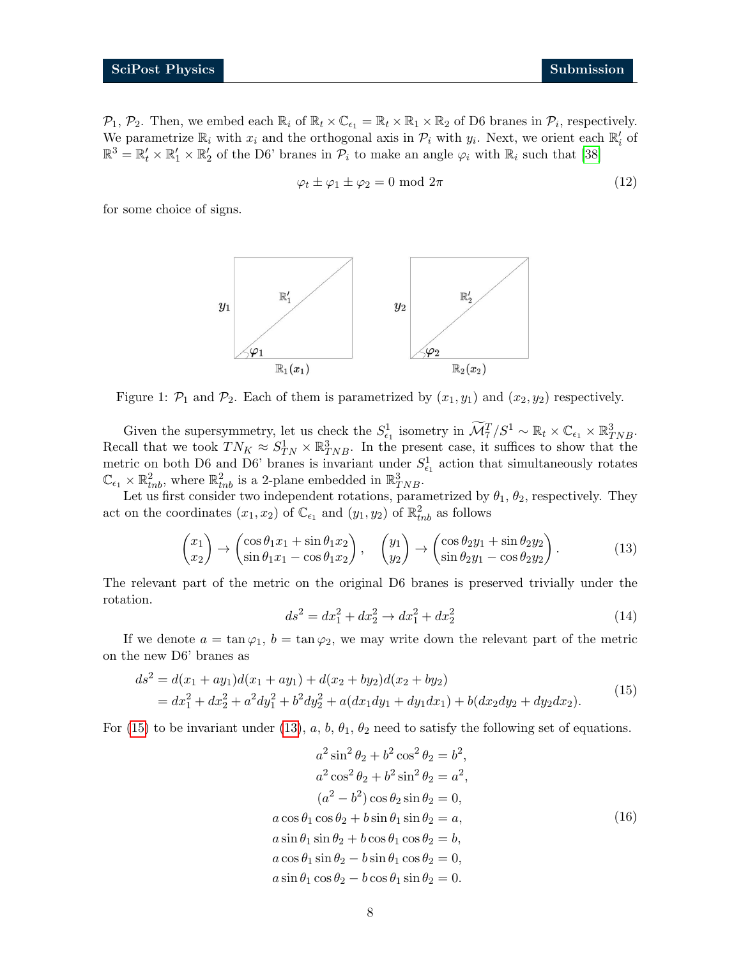$\mathcal{P}_1$ ,  $\mathcal{P}_2$ . Then, we embed each  $\mathbb{R}_i$  of  $\mathbb{R}_t \times \mathbb{C}_{\epsilon_1} = \mathbb{R}_t \times \mathbb{R}_1 \times \mathbb{R}_2$  of D6 branes in  $\mathcal{P}_i$ , respectively. We parametrize  $\mathbb{R}_i$  with  $x_i$  and the orthogonal axis in  $\mathcal{P}_i$  with  $y_i$ . Next, we orient each  $\mathbb{R}'_i$  of  $\mathbb{R}^3 = \mathbb{R}'_t \times \mathbb{R}'_1 \times \mathbb{R}'_2$  of the D6' branes in  $\mathcal{P}_i$  to make an angle  $\varphi_i$  with  $\mathbb{R}_i$  such that [\[38\]](#page-30-8)

<span id="page-7-2"></span>
$$
\varphi_t \pm \varphi_1 \pm \varphi_2 = 0 \text{ mod } 2\pi \tag{12}
$$

for some choice of signs.



Figure 1:  $\mathcal{P}_1$  and  $\mathcal{P}_2$ . Each of them is parametrized by  $(x_1, y_1)$  and  $(x_2, y_2)$  respectively.

Given the supersymmetry, let us check the  $S_{\epsilon_1}^1$  isometry in  $\widetilde{\mathcal{M}}_7^T/S^1 \sim \mathbb{R}_t \times \mathbb{C}_{\epsilon_1} \times \mathbb{R}_{TNB}^3$ . Recall that we took  $TN_K \approx S_{TN}^1 \times \mathbb{R}_{TNB}^3$ . In the present case, it suffices to show that the metric on both D6 and D6' branes is invariant under  $S_{\epsilon_1}^1$  action that simultaneously rotates  $\mathbb{C}_{\epsilon_1} \times \mathbb{R}^2_{thb}$ , where  $\mathbb{R}^2_{thb}$  is a 2-plane embedded in  $\mathbb{R}^3_{TNB}$ .

Let us first consider two independent rotations, parametrized by  $\theta_1$ ,  $\theta_2$ , respectively. They act on the coordinates  $(x_1, x_2)$  of  $\mathbb{C}_{\epsilon_1}$  and  $(y_1, y_2)$  of  $\mathbb{R}^2_{thb}$  as follows

$$
\begin{pmatrix} x_1 \\ x_2 \end{pmatrix} \rightarrow \begin{pmatrix} \cos \theta_1 x_1 + \sin \theta_1 x_2 \\ \sin \theta_1 x_1 - \cos \theta_1 x_2 \end{pmatrix}, \quad \begin{pmatrix} y_1 \\ y_2 \end{pmatrix} \rightarrow \begin{pmatrix} \cos \theta_2 y_1 + \sin \theta_2 y_2 \\ \sin \theta_2 y_1 - \cos \theta_2 y_2 \end{pmatrix}.
$$
 (13)

The relevant part of the metric on the original D6 branes is preserved trivially under the rotation.

<span id="page-7-1"></span><span id="page-7-0"></span>
$$
ds^2 = dx_1^2 + dx_2^2 \rightarrow dx_1^2 + dx_2^2 \tag{14}
$$

If we denote  $a = \tan \varphi_1$ ,  $b = \tan \varphi_2$ , we may write down the relevant part of the metric on the new D6' branes as

$$
ds^{2} = d(x_{1} + ay_{1})d(x_{1} + ay_{1}) + d(x_{2} + by_{2})d(x_{2} + by_{2})
$$
  
=  $dx_{1}^{2} + dx_{2}^{2} + a^{2}dy_{1}^{2} + b^{2}dy_{2}^{2} + a(dx_{1}dy_{1} + dy_{1}dx_{1}) + b(dx_{2}dy_{2} + dy_{2}dx_{2}).$  (15)

For [\(15\)](#page-7-0) to be invariant under [\(13\)](#page-7-1), a, b,  $\theta_1$ ,  $\theta_2$  need to satisfy the following set of equations.

$$
a^{2} \sin^{2} \theta_{2} + b^{2} \cos^{2} \theta_{2} = b^{2},
$$
  
\n
$$
a^{2} \cos^{2} \theta_{2} + b^{2} \sin^{2} \theta_{2} = a^{2},
$$
  
\n
$$
(a^{2} - b^{2}) \cos \theta_{2} \sin \theta_{2} = 0,
$$
  
\n
$$
a \cos \theta_{1} \cos \theta_{2} + b \sin \theta_{1} \sin \theta_{2} = a,
$$
  
\n
$$
a \sin \theta_{1} \sin \theta_{2} + b \cos \theta_{1} \cos \theta_{2} = b,
$$
  
\n
$$
a \cos \theta_{1} \sin \theta_{2} - b \sin \theta_{1} \cos \theta_{2} = 0,
$$
  
\n
$$
a \sin \theta_{1} \cos \theta_{2} - b \cos \theta_{1} \sin \theta_{2} = 0.
$$
  
\n(16)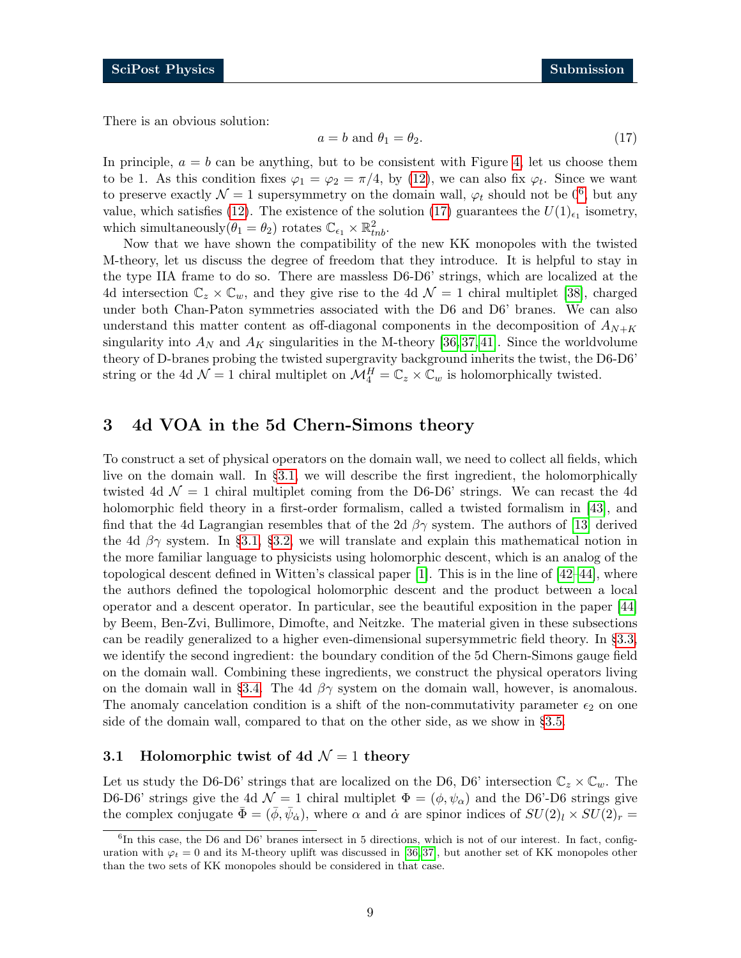There is an obvious solution:

<span id="page-8-3"></span>
$$
a = b \text{ and } \theta_1 = \theta_2. \tag{17}
$$

In principle,  $a = b$  can be anything, but to be consistent with Figure [4,](#page-23-0) let us choose them to be 1. As this condition fixes  $\varphi_1 = \varphi_2 = \pi/4$ , by [\(12\)](#page-7-2), we can also fix  $\varphi_t$ . Since we want to preserve exactly  $\mathcal{N}=1$  supersymmetry on the domain wall,  $\varphi_t$  should not be  $0^6$  $0^6$ , but any value, which satisfies [\(12\)](#page-7-2). The existence of the solution [\(17\)](#page-8-3) guarantees the  $U(1)_{\epsilon_1}$  isometry, which simultaneously  $(\theta_1 = \theta_2)$  rotates  $\mathbb{C}_{\epsilon_1} \times \mathbb{R}^2_{thb}$ .

Now that we have shown the compatibility of the new KK monopoles with the twisted M-theory, let us discuss the degree of freedom that they introduce. It is helpful to stay in the type IIA frame to do so. There are massless D6-D6' strings, which are localized at the 4d intersection  $\mathbb{C}_z \times \mathbb{C}_w$ , and they give rise to the 4d  $\mathcal{N}=1$  chiral multiplet [\[38\]](#page-30-8), charged under both Chan-Paton symmetries associated with the D6 and D6' branes. We can also understand this matter content as off-diagonal components in the decomposition of  $A_{N+K}$ singularity into  $A_N$  and  $A_K$  singularities in the M-theory [\[36,](#page-30-6) [37,](#page-30-7) [41\]](#page-30-10). Since the worldvolume theory of D-branes probing the twisted supergravity background inherits the twist, the D6-D6' string or the 4d  $\mathcal{N}=1$  chiral multiplet on  $\mathcal{M}_4^H=\mathbb{C}_z\times\mathbb{C}_w$  is holomorphically twisted.

# <span id="page-8-0"></span>3 4d VOA in the 5d Chern-Simons theory

To construct a set of physical operators on the domain wall, we need to collect all fields, which live on the domain wall. In §[3.1,](#page-8-1) we will describe the first ingredient, the holomorphically twisted 4d  $\mathcal{N} = 1$  chiral multiplet coming from the D6-D6' strings. We can recast the 4d holomorphic field theory in a first-order formalism, called a twisted formalism in [\[43\]](#page-30-11), and find that the 4d Lagrangian resembles that of the 2d  $\beta\gamma$  system. The authors of [\[13\]](#page-29-0) derived the 4d  $\beta\gamma$  system. In §[3.1,](#page-8-1) §[3.2,](#page-11-0) we will translate and explain this mathematical notion in the more familiar language to physicists using holomorphic descent, which is an analog of the topological descent defined in Witten's classical paper [\[1\]](#page-28-1). This is in the line of [\[42–](#page-30-12)[44\]](#page-30-13), where the authors defined the topological holomorphic descent and the product between a local operator and a descent operator. In particular, see the beautiful exposition in the paper [\[44\]](#page-30-13) by Beem, Ben-Zvi, Bullimore, Dimofte, and Neitzke. The material given in these subsections can be readily generalized to a higher even-dimensional supersymmetric field theory. In §[3.3,](#page-14-0) we identify the second ingredient: the boundary condition of the 5d Chern-Simons gauge field on the domain wall. Combining these ingredients, we construct the physical operators living on the domain wall in §[3.4.](#page-15-0) The 4d  $\beta\gamma$  system on the domain wall, however, is anomalous. The anomaly cancelation condition is a shift of the non-commutativity parameter  $\epsilon_2$  on one side of the domain wall, compared to that on the other side, as we show in §[3.5.](#page-16-0)

#### <span id="page-8-1"></span>3.1 Holomorphic twist of 4d  $\mathcal{N}=1$  theory

Let us study the D6-D6' strings that are localized on the D6, D6' intersection  $\mathbb{C}_z \times \mathbb{C}_w$ . The D6-D6' strings give the 4d  $\mathcal{N} = 1$  chiral multiplet  $\Phi = (\phi, \psi_{\alpha})$  and the D6'-D6 strings give the complex conjugate  $\bar{\Phi} = (\bar{\phi}, \bar{\psi}_{\dot{\alpha}})$ , where  $\alpha$  and  $\dot{\alpha}$  are spinor indices of  $SU(2)_l \times SU(2)_r =$ 

<span id="page-8-2"></span><sup>&</sup>lt;sup>6</sup>In this case, the D6 and D6' branes intersect in 5 directions, which is not of our interest. In fact, configuration with  $\varphi_t = 0$  and its M-theory uplift was discussed in [\[36,](#page-30-6)37], but another set of KK monopoles other than the two sets of KK monopoles should be considered in that case.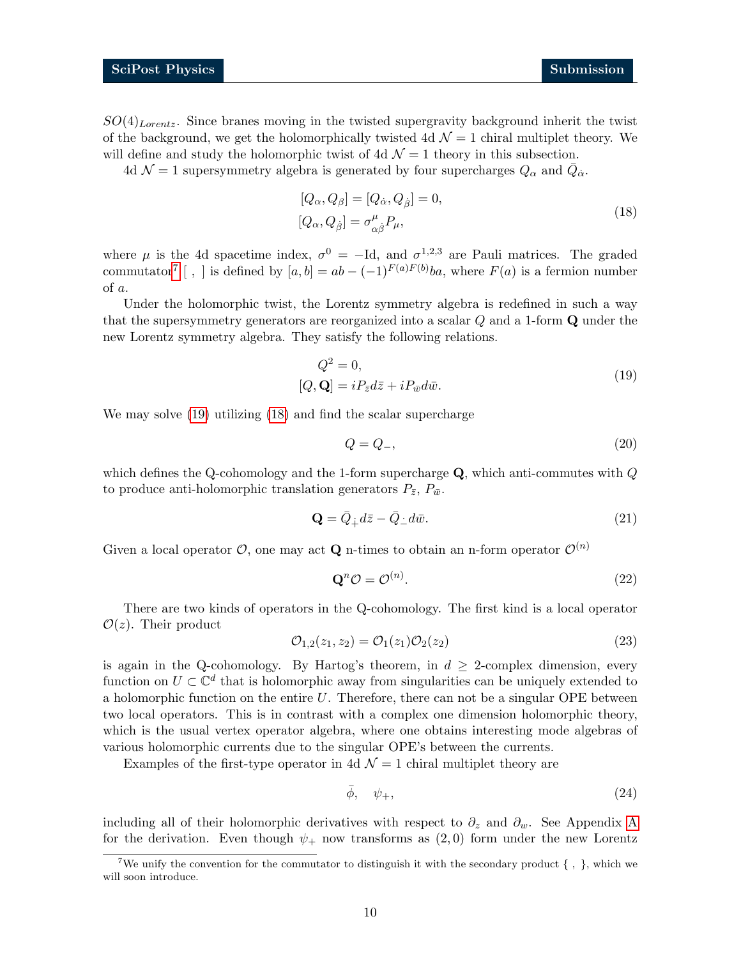$SO(4)_{Lorentz}$ . Since branes moving in the twisted supergravity background inherit the twist of the background, we get the holomorphically twisted 4d  $\mathcal{N}=1$  chiral multiplet theory. We will define and study the holomorphic twist of 4d  $\mathcal{N}=1$  theory in this subsection.

4d  $\mathcal{N}=1$  supersymmetry algebra is generated by four supercharges  $Q_{\alpha}$  and  $\bar{Q}_{\dot{\alpha}}$ .

<span id="page-9-2"></span>
$$
[Q_{\alpha}, Q_{\beta}] = [Q_{\dot{\alpha}}, Q_{\dot{\beta}}] = 0,
$$
  
\n
$$
[Q_{\alpha}, Q_{\dot{\beta}}] = \sigma^{\mu}_{\alpha \dot{\beta}} P_{\mu},
$$
\n(18)

where  $\mu$  is the 4d spacetime index,  $\sigma^0 = -Id$ , and  $\sigma^{1,2,3}$  are Pauli matrices. The graded commutator<sup>[7](#page-9-0)</sup> [, ] is defined by  $[a, b] = ab - (-1)^{F(a)F(b)}ba$ , where  $F(a)$  is a fermion number of a.

Under the holomorphic twist, the Lorentz symmetry algebra is redefined in such a way that the supersymmetry generators are reorganized into a scalar Q and a 1-form Q under the new Lorentz symmetry algebra. They satisfy the following relations.

$$
Q^2 = 0,
$$
  
[ $Q, \mathbf{Q}$ ] =  $iP_{\bar{z}}d\bar{z} + iP_{\bar{w}}d\bar{w}.$  (19)

We may solve [\(19\)](#page-9-1) utilizing [\(18\)](#page-9-2) and find the scalar supercharge

<span id="page-9-1"></span>
$$
Q = Q_{-},\tag{20}
$$

which defines the Q-cohomology and the 1-form supercharge  $\mathbf Q$ , which anti-commutes with  $Q$ to produce anti-holomorphic translation generators  $P_{\bar{z}}, P_{\bar{w}}$ .

$$
\mathbf{Q} = \bar{Q}_{\dot{+}} d\bar{z} - \bar{Q}_{\dot{-}} d\bar{w}.\tag{21}
$$

Given a local operator  $\mathcal{O}$ , one may act **Q** n-times to obtain an n-form operator  $\mathcal{O}^{(n)}$ 

$$
\mathbf{Q}^n \mathcal{O} = \mathcal{O}^{(n)}.\tag{22}
$$

There are two kinds of operators in the Q-cohomology. The first kind is a local operator  $\mathcal{O}(z)$ . Their product

$$
\mathcal{O}_{1,2}(z_1, z_2) = \mathcal{O}_1(z_1)\mathcal{O}_2(z_2)
$$
\n(23)

is again in the Q-cohomology. By Hartog's theorem, in  $d \geq 2$ -complex dimension, every function on  $U \subset \mathbb{C}^d$  that is holomorphic away from singularities can be uniquely extended to a holomorphic function on the entire  $U$ . Therefore, there can not be a singular OPE between two local operators. This is in contrast with a complex one dimension holomorphic theory, which is the usual vertex operator algebra, where one obtains interesting mode algebras of various holomorphic currents due to the singular OPE's between the currents.

Examples of the first-type operator in 4d  $\mathcal{N}=1$  chiral multiplet theory are

$$
\bar{\phi}, \quad \psi_+, \tag{24}
$$

including all of their holomorphic derivatives with respect to  $\partial_z$  and  $\partial_w$ . See [A](#page-24-0)ppendix A for the derivation. Even though  $\psi_+$  now transforms as  $(2,0)$  form under the new Lorentz

<span id="page-9-0"></span><sup>&</sup>lt;sup>7</sup>We unify the convention for the commutator to distinguish it with the secondary product  $\{\ ,\ \}$ , which we will soon introduce.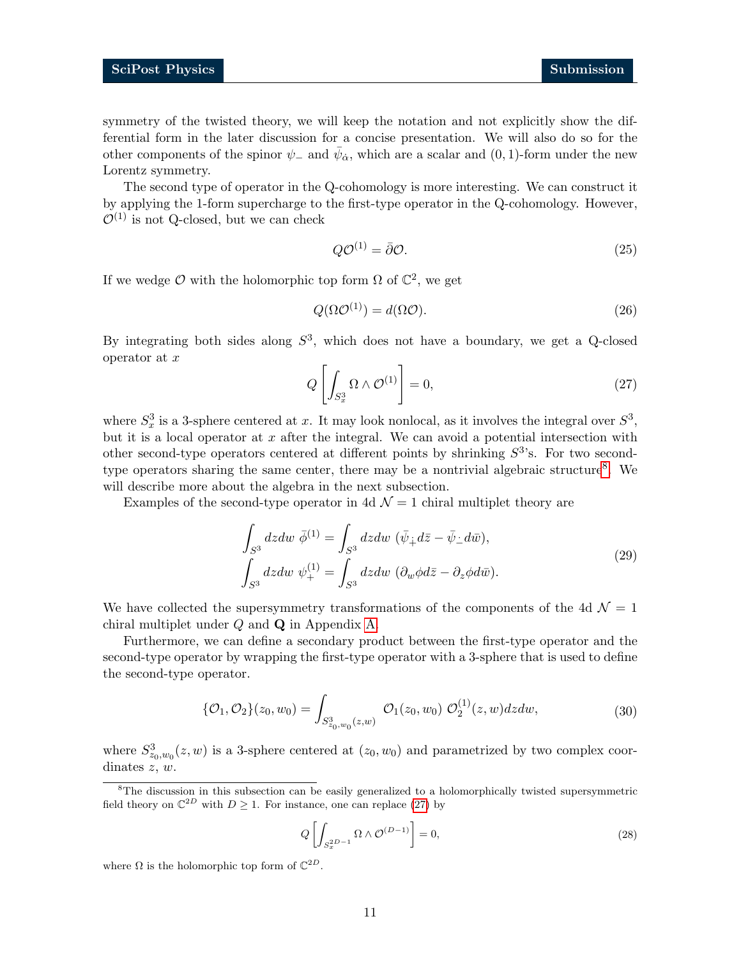symmetry of the twisted theory, we will keep the notation and not explicitly show the differential form in the later discussion for a concise presentation. We will also do so for the other components of the spinor  $\psi_-$  and  $\bar{\psi}_{\dot{\alpha}}$ , which are a scalar and  $(0, 1)$ -form under the new Lorentz symmetry.

The second type of operator in the Q-cohomology is more interesting. We can construct it by applying the 1-form supercharge to the first-type operator in the Q-cohomology. However,  $\mathcal{O}^{(1)}$  is not Q-closed, but we can check

$$
Q\mathcal{O}^{(1)} = \bar{\partial}\mathcal{O}.\tag{25}
$$

If we wedge  $\mathcal O$  with the holomorphic top form  $\Omega$  of  $\mathbb C^2$ , we get

$$
Q(\Omega \mathcal{O}^{(1)}) = d(\Omega \mathcal{O}).\tag{26}
$$

<span id="page-10-1"></span>By integrating both sides along  $S^3$ , which does not have a boundary, we get a Q-closed operator at  $x$ 

$$
Q\left[\int_{S_x^3} \Omega \wedge \mathcal{O}^{(1)}\right] = 0,\tag{27}
$$

where  $S_x^3$  is a 3-sphere centered at x. It may look nonlocal, as it involves the integral over  $S^3$ , but it is a local operator at  $x$  after the integral. We can avoid a potential intersection with other second-type operators centered at different points by shrinking  $S<sup>3</sup>$ 's. For two second-type operators sharing the same center, there may be a nontrivial algebraic structure<sup>[8](#page-10-0)</sup>. We will describe more about the algebra in the next subsection.

Examples of the second-type operator in 4d  $\mathcal{N}=1$  chiral multiplet theory are

$$
\int_{S^3} dz dw \ \bar{\phi}^{(1)} = \int_{S^3} dz dw \ (\bar{\psi}_{\dot{+}} d\bar{z} - \bar{\psi}_{\dot{-}} d\bar{w}),
$$
\n
$$
\int_{S^3} dz dw \ \psi_{+}^{(1)} = \int_{S^3} dz dw \ (\partial_w \phi d\bar{z} - \partial_z \phi d\bar{w}).
$$
\n(29)

We have collected the supersymmetry transformations of the components of the 4d  $\mathcal{N} = 1$ chiral multiplet under Q and Q in Appendix [A.](#page-24-0)

Furthermore, we can define a secondary product between the first-type operator and the second-type operator by wrapping the first-type operator with a 3-sphere that is used to define the second-type operator.

<span id="page-10-2"></span>
$$
\{\mathcal{O}_1, \mathcal{O}_2\}(z_0, w_0) = \int_{S^3_{z_0, w_0}(z, w)} \mathcal{O}_1(z_0, w_0) \mathcal{O}_2^{(1)}(z, w) dz dw, \tag{30}
$$

where  $S_{z_0,w_0}^3(z,w)$  is a 3-sphere centered at  $(z_0,w_0)$  and parametrized by two complex coordinates z, w.

$$
Q\left[\int_{S_x^{2D-1}} \Omega \wedge \mathcal{O}^{(D-1)}\right] = 0,\tag{28}
$$

where  $\Omega$  is the holomorphic top form of  $\mathbb{C}^{2D}$ .

<span id="page-10-0"></span><sup>&</sup>lt;sup>8</sup>The discussion in this subsection can be easily generalized to a holomorphically twisted supersymmetric field theory on  $\mathbb{C}^{2D}$  with  $D \geq 1$ . For instance, one can replace [\(27\)](#page-10-1) by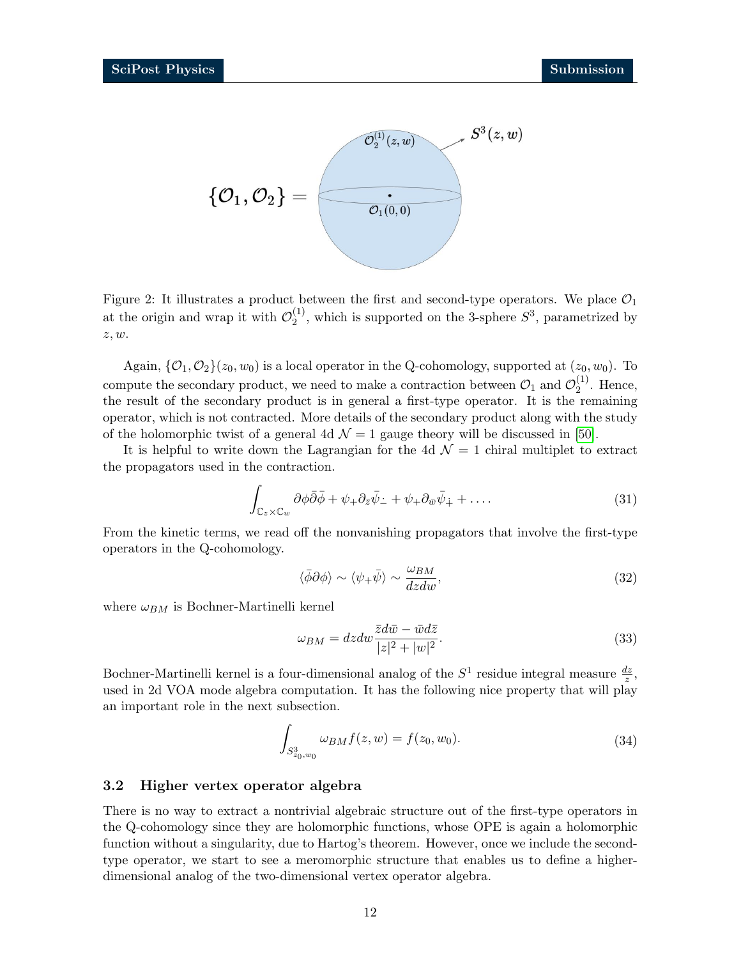

Figure 2: It illustrates a product between the first and second-type operators. We place  $\mathcal{O}_1$ at the origin and wrap it with  $\mathcal{O}_2^{(1)}$  $2^{(1)}$ , which is supported on the 3-sphere  $S^3$ , parametrized by z, w.

Again,  $\{\mathcal{O}_1, \mathcal{O}_2\}(z_0, w_0)$  is a local operator in the Q-cohomology, supported at  $(z_0, w_0)$ . To compute the secondary product, we need to make a contraction between  $\mathcal{O}_1$  and  $\mathcal{O}_2^{(1)}$  $2^{(1)}$ . Hence, the result of the secondary product is in general a first-type operator. It is the remaining operator, which is not contracted. More details of the secondary product along with the study of the holomorphic twist of a general 4d  $\mathcal{N}=1$  gauge theory will be discussed in [\[50\]](#page-31-0).

It is helpful to write down the Lagrangian for the 4d  $\mathcal{N}=1$  chiral multiplet to extract the propagators used in the contraction.

<span id="page-11-2"></span>
$$
\int_{\mathbb{C}_z \times \mathbb{C}_w} \partial \phi \bar{\partial} \bar{\phi} + \psi_+ \partial_{\bar{z}} \bar{\psi}_- + \psi_+ \partial_{\bar{w}} \bar{\psi}_+ + \dots \tag{31}
$$

From the kinetic terms, we read off the nonvanishing propagators that involve the first-type operators in the Q-cohomology.

<span id="page-11-1"></span>
$$
\langle \bar{\phi}\partial\phi \rangle \sim \langle \psi_+ \bar{\psi} \rangle \sim \frac{\omega_{BM}}{dzdw},\tag{32}
$$

where  $\omega_{BM}$  is Bochner-Martinelli kernel

$$
\omega_{BM} = dzdw \frac{\bar{z}d\bar{w} - \bar{w}d\bar{z}}{|z|^2 + |w|^2}.
$$
\n(33)

Bochner-Martinelli kernel is a four-dimensional analog of the  $S^1$  residue integral measure  $\frac{dz}{z}$ , used in 2d VOA mode algebra computation. It has the following nice property that will play an important role in the next subsection.

$$
\int_{S_{z_0,w_0}^3} \omega_{BM} f(z, w) = f(z_0, w_0). \tag{34}
$$

#### <span id="page-11-0"></span>3.2 Higher vertex operator algebra

There is no way to extract a nontrivial algebraic structure out of the first-type operators in the Q-cohomology since they are holomorphic functions, whose OPE is again a holomorphic function without a singularity, due to Hartog's theorem. However, once we include the secondtype operator, we start to see a meromorphic structure that enables us to define a higherdimensional analog of the two-dimensional vertex operator algebra.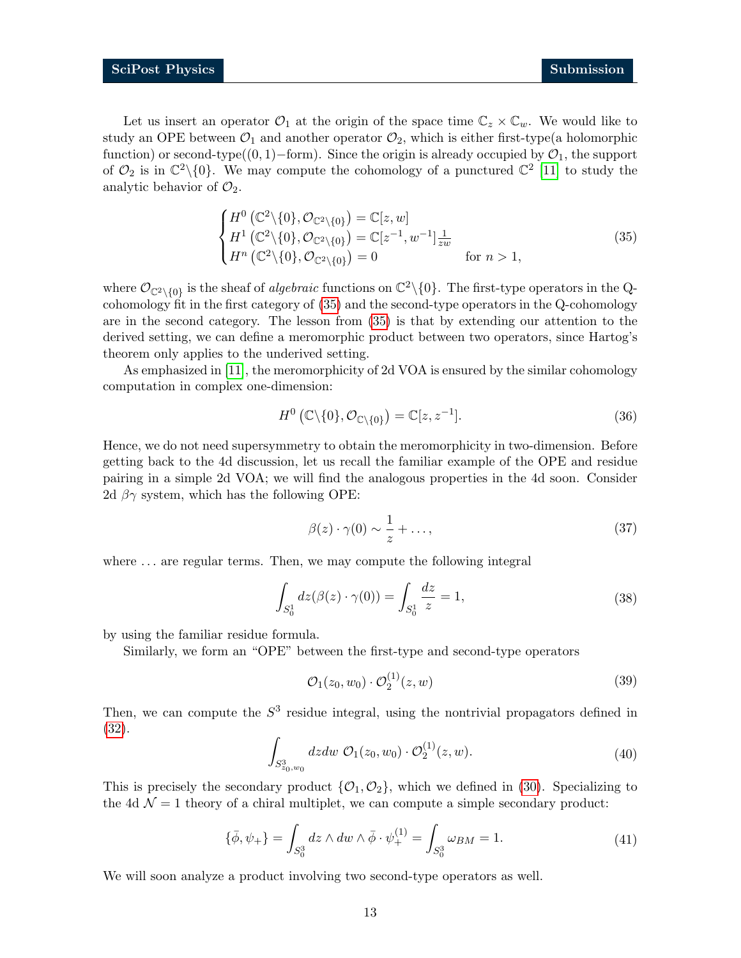Let us insert an operator  $\mathcal{O}_1$  at the origin of the space time  $\mathbb{C}_z \times \mathbb{C}_w$ . We would like to study an OPE between  $\mathcal{O}_1$  and another operator  $\mathcal{O}_2$ , which is either first-type(a holomorphic function) or second-type( $(0, 1)$ –form). Since the origin is already occupied by  $\mathcal{O}_1$ , the support of  $\mathcal{O}_2$  is in  $\mathbb{C}^2 \setminus \{0\}$ . We may compute the cohomology of a punctured  $\mathbb{C}^2$  [\[11\]](#page-28-9) to study the analytic behavior of  $\mathcal{O}_2$ .

<span id="page-12-0"></span>
$$
\begin{cases}\nH^0\left(\mathbb{C}^2\backslash\{0\},\mathcal{O}_{\mathbb{C}^2\backslash\{0\}}\right) = \mathbb{C}[z,w] \\
H^1\left(\mathbb{C}^2\backslash\{0\},\mathcal{O}_{\mathbb{C}^2\backslash\{0\}}\right) = \mathbb{C}[z^{-1},w^{-1}]_{zw} \n\end{cases} \tag{35}
$$
\n
$$
H^n\left(\mathbb{C}^2\backslash\{0\},\mathcal{O}_{\mathbb{C}^2\backslash\{0\}}\right) = 0 \qquad \text{for } n > 1,
$$

where  $\mathcal{O}_{\mathbb{C}^2\setminus\{0\}}$  is the sheaf of *algebraic* functions on  $\mathbb{C}^2\setminus\{0\}$ . The first-type operators in the Qcohomology fit in the first category of [\(35\)](#page-12-0) and the second-type operators in the Q-cohomology are in the second category. The lesson from [\(35\)](#page-12-0) is that by extending our attention to the derived setting, we can define a meromorphic product between two operators, since Hartog's theorem only applies to the underived setting.

As emphasized in [\[11\]](#page-28-9), the meromorphicity of 2d VOA is ensured by the similar cohomology computation in complex one-dimension:

$$
H^{0}\left(\mathbb{C}\backslash\{0\},\mathcal{O}_{\mathbb{C}\backslash\{0\}}\right)=\mathbb{C}[z,z^{-1}].\tag{36}
$$

Hence, we do not need supersymmetry to obtain the meromorphicity in two-dimension. Before getting back to the 4d discussion, let us recall the familiar example of the OPE and residue pairing in a simple 2d VOA; we will find the analogous properties in the 4d soon. Consider 2d  $\beta\gamma$  system, which has the following OPE:

$$
\beta(z) \cdot \gamma(0) \sim \frac{1}{z} + \dots,\tag{37}
$$

where  $\dots$  are regular terms. Then, we may compute the following integral

$$
\int_{S_0^1} dz(\beta(z) \cdot \gamma(0)) = \int_{S_0^1} \frac{dz}{z} = 1,
$$
\n(38)

by using the familiar residue formula.

Similarly, we form an "OPE" between the first-type and second-type operators

$$
\mathcal{O}_1(z_0, w_0) \cdot \mathcal{O}_2^{(1)}(z, w) \tag{39}
$$

Then, we can compute the  $S<sup>3</sup>$  residue integral, using the nontrivial propagators defined in [\(32\)](#page-11-1).

$$
\int_{S^3_{z_0,w_0}} dz dw \; \mathcal{O}_1(z_0,w_0) \cdot \mathcal{O}_2^{(1)}(z,w).
$$
 (40)

This is precisely the secondary product  $\{O_1, O_2\}$ , which we defined in [\(30\)](#page-10-2). Specializing to the 4d  $\mathcal{N} = 1$  theory of a chiral multiplet, we can compute a simple secondary product:

$$
\{\bar{\phi}, \psi_+\} = \int_{S_0^3} dz \wedge dw \wedge \bar{\phi} \cdot \psi_+^{(1)} = \int_{S_0^3} \omega_{BM} = 1.
$$
 (41)

We will soon analyze a product involving two second-type operators as well.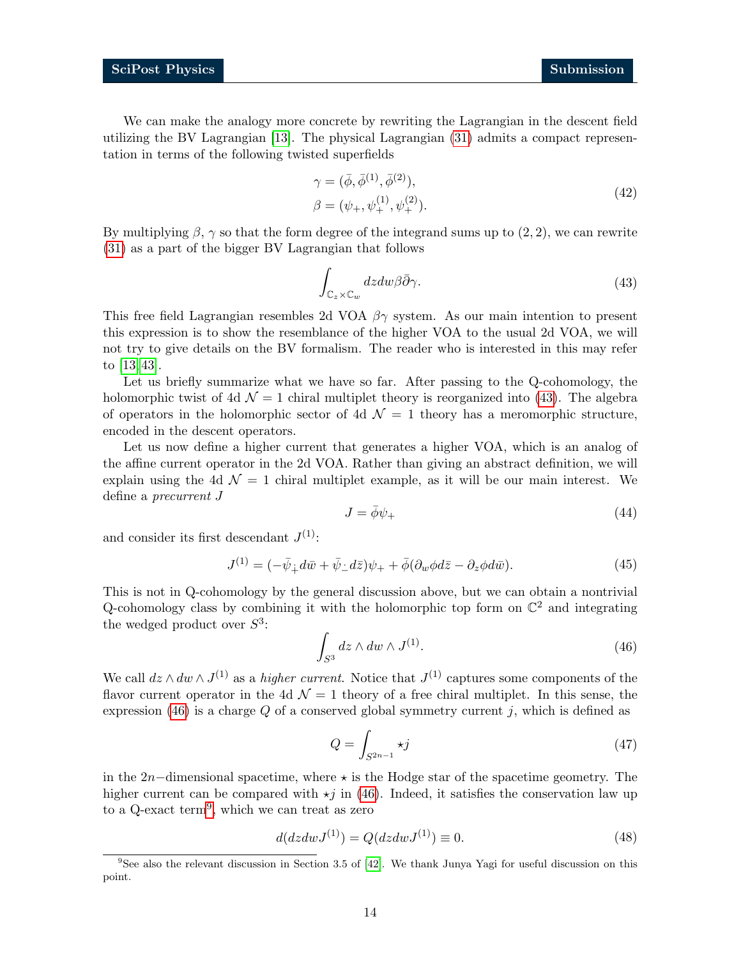We can make the analogy more concrete by rewriting the Lagrangian in the descent field utilizing the BV Lagrangian [\[13\]](#page-29-0). The physical Lagrangian [\(31\)](#page-11-2) admits a compact representation in terms of the following twisted superfields

$$
\gamma = (\bar{\phi}, \bar{\phi}^{(1)}, \bar{\phi}^{(2)}), \n\beta = (\psi_+, \psi_+^{(1)}, \psi_+^{(2)}).
$$
\n(42)

By multiplying  $\beta$ ,  $\gamma$  so that the form degree of the integrand sums up to (2, 2), we can rewrite [\(31\)](#page-11-2) as a part of the bigger BV Lagrangian that follows

<span id="page-13-0"></span>
$$
\int_{\mathbb{C}_z \times \mathbb{C}_w} dz dw \beta \bar{\partial} \gamma.
$$
\n(43)

This free field Lagrangian resembles 2d VOA  $\beta\gamma$  system. As our main intention to present this expression is to show the resemblance of the higher VOA to the usual 2d VOA, we will not try to give details on the BV formalism. The reader who is interested in this may refer to [\[13,](#page-29-0) [43\]](#page-30-11).

Let us briefly summarize what we have so far. After passing to the Q-cohomology, the holomorphic twist of 4d  $\mathcal{N} = 1$  chiral multiplet theory is reorganized into [\(43\)](#page-13-0). The algebra of operators in the holomorphic sector of 4d  $\mathcal{N}=1$  theory has a meromorphic structure, encoded in the descent operators.

Let us now define a higher current that generates a higher VOA, which is an analog of the affine current operator in the 2d VOA. Rather than giving an abstract definition, we will explain using the 4d  $\mathcal{N} = 1$  chiral multiplet example, as it will be our main interest. We define a precurrent J

$$
J = \bar{\phi}\psi_+ \tag{44}
$$

and consider its first descendant  $J^{(1)}$ :

$$
J^{(1)} = (-\bar{\psi}_+ d\bar{w} + \bar{\psi}_- d\bar{z})\psi_+ + \bar{\phi}(\partial_w \phi d\bar{z} - \partial_z \phi d\bar{w}).\tag{45}
$$

This is not in Q-cohomology by the general discussion above, but we can obtain a nontrivial Q-cohomology class by combining it with the holomorphic top form on  $\mathbb{C}^2$  and integrating the wedged product over  $S^3$ :

<span id="page-13-1"></span>
$$
\int_{S^3} dz \wedge dw \wedge J^{(1)}.
$$
\n(46)

We call  $dz \wedge dw \wedge J^{(1)}$  as a *higher current*. Notice that  $J^{(1)}$  captures some components of the flavor current operator in the 4d  $\mathcal{N}=1$  theory of a free chiral multiplet. In this sense, the expression [\(46\)](#page-13-1) is a charge  $Q$  of a conserved global symmetry current j, which is defined as

$$
Q = \int_{S^{2n-1}} \star j \tag{47}
$$

in the 2n−dimensional spacetime, where  $\star$  is the Hodge star of the spacetime geometry. The higher current can be compared with  $\star j$  in [\(46\)](#page-13-1). Indeed, it satisfies the conservation law up to a Q-exact term<sup>[9](#page-13-2)</sup>, which we can treat as zero

$$
d(dzdwJ^{(1)}) = Q(dzdwJ^{(1)}) \equiv 0.
$$
\n(48)

<span id="page-13-2"></span> $9$ See also the relevant discussion in Section 3.5 of [\[42\]](#page-30-12). We thank Junya Yagi for useful discussion on this point.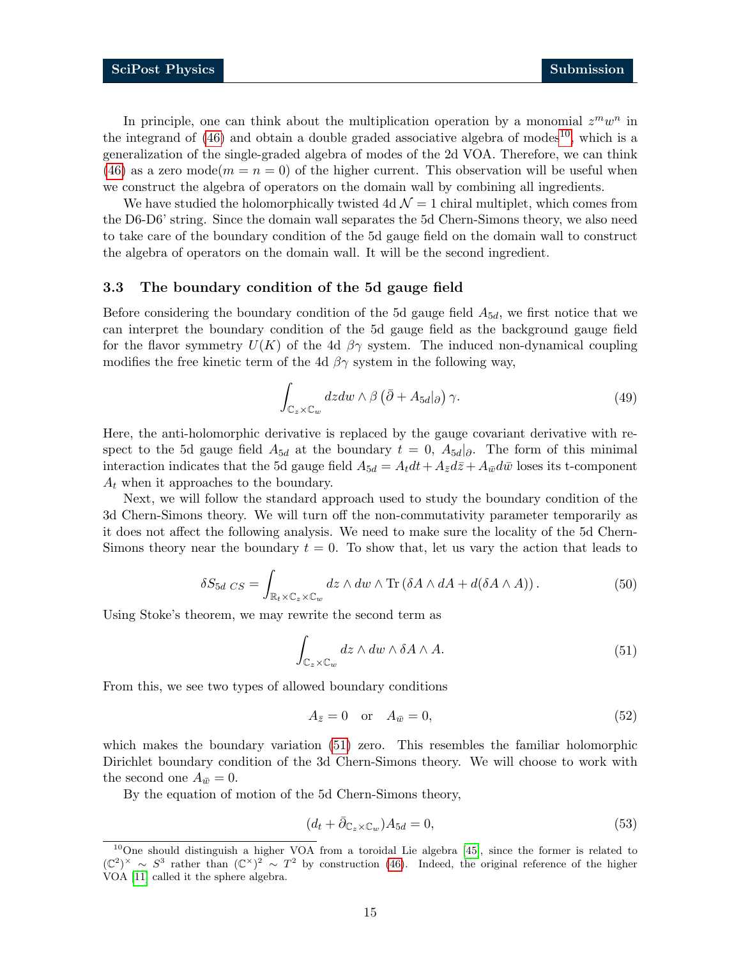In principle, one can think about the multiplication operation by a monomial  $z^m w^n$  in the integrand of  $(46)$  and obtain a double graded associative algebra of modes<sup>[10](#page-14-1)</sup>, which is a generalization of the single-graded algebra of modes of the 2d VOA. Therefore, we can think [\(46\)](#page-13-1) as a zero mode( $m = n = 0$ ) of the higher current. This observation will be useful when we construct the algebra of operators on the domain wall by combining all ingredients.

We have studied the holomorphically twisted 4d  $\mathcal{N}=1$  chiral multiplet, which comes from the D6-D6' string. Since the domain wall separates the 5d Chern-Simons theory, we also need to take care of the boundary condition of the 5d gauge field on the domain wall to construct the algebra of operators on the domain wall. It will be the second ingredient.

#### <span id="page-14-0"></span>3.3 The boundary condition of the 5d gauge field

Before considering the boundary condition of the 5d gauge field  $A_{5d}$ , we first notice that we can interpret the boundary condition of the 5d gauge field as the background gauge field for the flavor symmetry  $U(K)$  of the 4d  $\beta\gamma$  system. The induced non-dynamical coupling modifies the free kinetic term of the 4d  $\beta\gamma$  system in the following way,

$$
\int_{\mathbb{C}_z \times \mathbb{C}_w} dzdw \wedge \beta \left( \bar{\partial} + A_{5d} |_{\partial} \right) \gamma.
$$
\n(49)

Here, the anti-holomorphic derivative is replaced by the gauge covariant derivative with respect to the 5d gauge field  $A_{5d}$  at the boundary  $t = 0$ ,  $A_{5d}$ . The form of this minimal interaction indicates that the 5d gauge field  $A_{5d} = A_t dt + A_{\bar{z}} d\bar{z} + A_{\bar{w}} d\bar{w}$  loses its t-component  $A_t$  when it approaches to the boundary.

Next, we will follow the standard approach used to study the boundary condition of the 3d Chern-Simons theory. We will turn off the non-commutativity parameter temporarily as it does not affect the following analysis. We need to make sure the locality of the 5d Chern-Simons theory near the boundary  $t = 0$ . To show that, let us vary the action that leads to

$$
\delta S_{5d \; CS} = \int_{\mathbb{R}_t \times \mathbb{C}_z \times \mathbb{C}_w} dz \wedge dw \wedge \text{Tr} \left( \delta A \wedge dA + d(\delta A \wedge A) \right). \tag{50}
$$

Using Stoke's theorem, we may rewrite the second term as

<span id="page-14-2"></span>
$$
\int_{\mathbb{C}_z \times \mathbb{C}_w} dz \wedge dw \wedge \delta A \wedge A. \tag{51}
$$

From this, we see two types of allowed boundary conditions

$$
A_{\bar{z}} = 0 \quad \text{or} \quad A_{\bar{w}} = 0,\tag{52}
$$

which makes the boundary variation [\(51\)](#page-14-2) zero. This resembles the familiar holomorphic Dirichlet boundary condition of the 3d Chern-Simons theory. We will choose to work with the second one  $A_{\bar{w}} = 0$ .

By the equation of motion of the 5d Chern-Simons theory,

$$
(d_t + \bar{\partial}_{\mathbb{C}_z \times \mathbb{C}_w})A_{5d} = 0,\t\t(53)
$$

<span id="page-14-1"></span><sup>10</sup>One should distinguish a higher VOA from a toroidal Lie algebra [\[45\]](#page-30-14), since the former is related to  $(\mathbb{C}^2)^{\times} \sim S^3$  rather than  $(\mathbb{C}^{\times})^2 \sim T^2$  by construction [\(46\)](#page-13-1). Indeed, the original reference of the higher VOA [\[11\]](#page-28-9) called it the sphere algebra.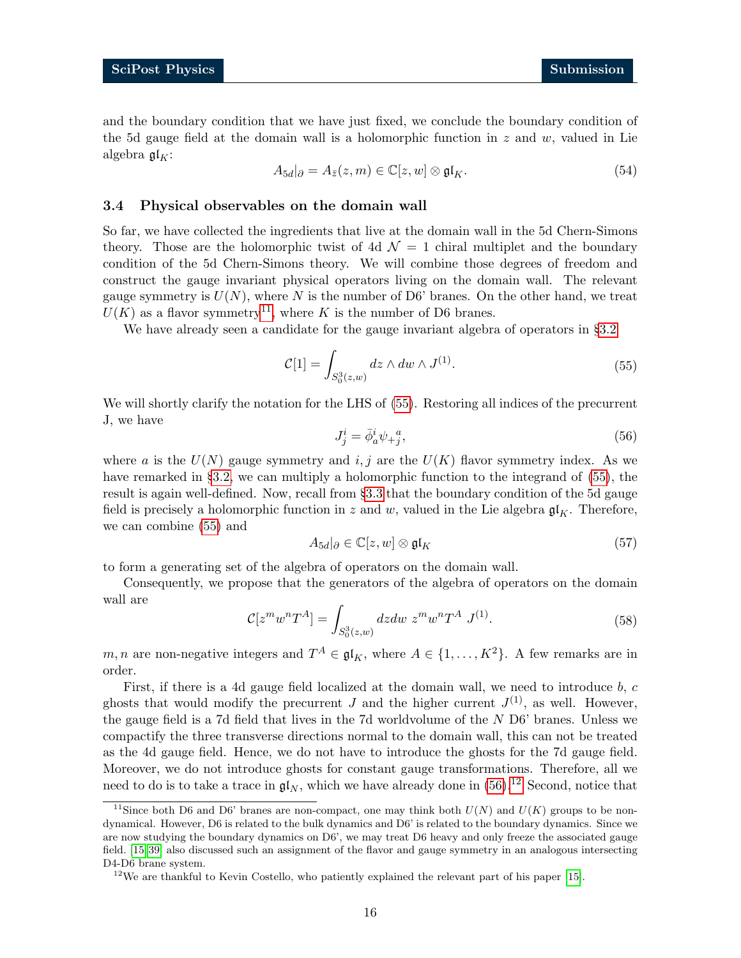and the boundary condition that we have just fixed, we conclude the boundary condition of the 5d gauge field at the domain wall is a holomorphic function in  $z$  and  $w$ , valued in Lie algebra  $\mathfrak{gl}_K$ :

$$
A_{5d}|\partial = A_{\bar{z}}(z,m) \in \mathbb{C}[z,w] \otimes \mathfrak{gl}_K.
$$
\n(54)

#### <span id="page-15-0"></span>3.4 Physical observables on the domain wall

So far, we have collected the ingredients that live at the domain wall in the 5d Chern-Simons theory. Those are the holomorphic twist of 4d  $\mathcal{N} = 1$  chiral multiplet and the boundary condition of the 5d Chern-Simons theory. We will combine those degrees of freedom and construct the gauge invariant physical operators living on the domain wall. The relevant gauge symmetry is  $U(N)$ , where N is the number of D6' branes. On the other hand, we treat  $U(K)$  as a flavor symmetry<sup>[11](#page-15-1)</sup>, where K is the number of D6 branes.

We have already seen a candidate for the gauge invariant algebra of operators in §[3.2](#page-11-0)

$$
C[1] = \int_{S_0^3(z,w)} dz \wedge dw \wedge J^{(1)}.
$$
 (55)

<span id="page-15-3"></span>We will shortly clarify the notation for the LHS of [\(55\)](#page-15-2). Restoring all indices of the precurrent J, we have

<span id="page-15-2"></span>
$$
J_j^i = \bar{\phi}_a^i \psi_{+j}^{\ a},\tag{56}
$$

where a is the  $U(N)$  gauge symmetry and i, j are the  $U(K)$  flavor symmetry index. As we have remarked in §[3.2,](#page-11-0) we can multiply a holomorphic function to the integrand of [\(55\)](#page-15-2), the result is again well-defined. Now, recall from §[3.3](#page-14-0) that the boundary condition of the 5d gauge field is precisely a holomorphic function in z and w, valued in the Lie algebra  $\mathfrak{gl}_K$ . Therefore, we can combine [\(55\)](#page-15-2) and

$$
A_{5d}|\partial \in \mathbb{C}[z,w] \otimes \mathfrak{gl}_K \tag{57}
$$

to form a generating set of the algebra of operators on the domain wall.

<span id="page-15-5"></span>Consequently, we propose that the generators of the algebra of operators on the domain wall are

$$
\mathcal{C}[z^m w^n T^A] = \int_{S_0^3(z,w)} dz dw \ z^m w^n T^A \ J^{(1)}.
$$
 (58)

m, n are non-negative integers and  $T^A \in \mathfrak{gl}_K$ , where  $A \in \{1, ..., K^2\}$ . A few remarks are in order.

First, if there is a 4d gauge field localized at the domain wall, we need to introduce b, c ghosts that would modify the precurrent J and the higher current  $J^{(1)}$ , as well. However, the gauge field is a 7d field that lives in the 7d worldvolume of the N D6' branes. Unless we compactify the three transverse directions normal to the domain wall, this can not be treated as the 4d gauge field. Hence, we do not have to introduce the ghosts for the 7d gauge field. Moreover, we do not introduce ghosts for constant gauge transformations. Therefore, all we need to do is to take a trace in  $\mathfrak{gl}_N$ , which we have already done in [\(56\)](#page-15-3).<sup>[12](#page-15-4)</sup> Second, notice that

<span id="page-15-1"></span><sup>&</sup>lt;sup>11</sup>Since both D6 and D6' branes are non-compact, one may think both  $U(N)$  and  $U(K)$  groups to be nondynamical. However, D6 is related to the bulk dynamics and D6' is related to the boundary dynamics. Since we are now studying the boundary dynamics on D6', we may treat D6 heavy and only freeze the associated gauge field. [\[15,](#page-29-2) [39\]](#page-30-15) also discussed such an assignment of the flavor and gauge symmetry in an analogous intersecting D4-D6 brane system.

<span id="page-15-4"></span><sup>&</sup>lt;sup>12</sup>We are thankful to Kevin Costello, who patiently explained the relevant part of his paper [\[15\]](#page-29-2).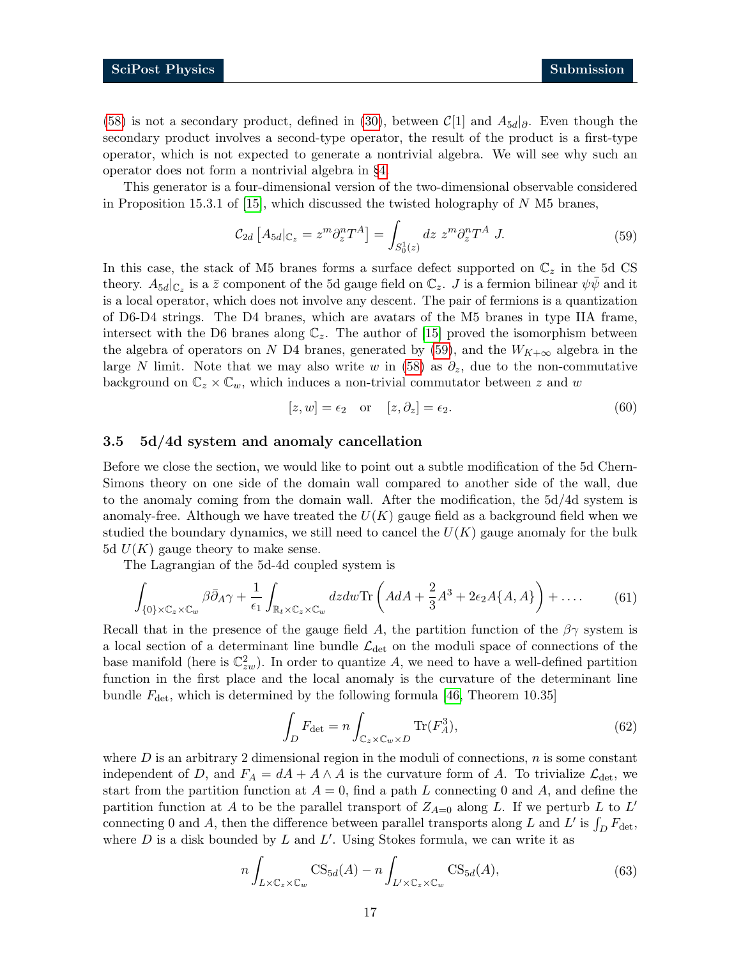[\(58\)](#page-15-5) is not a secondary product, defined in [\(30\)](#page-10-2), between  $\mathcal{C}[1]$  and  $A_{5d}$ . Even though the secondary product involves a second-type operator, the result of the product is a first-type operator, which is not expected to generate a nontrivial algebra. We will see why such an operator does not form a nontrivial algebra in §[4.](#page-17-0)

This generator is a four-dimensional version of the two-dimensional observable considered in Proposition 15.3.1 of  $[15]$ , which discussed the twisted holography of N M5 branes,

<span id="page-16-1"></span>
$$
\mathcal{C}_{2d} \left[ A_{5d} |_{\mathbb{C}_z} = z^m \partial_z^n T^A \right] = \int_{S_0^1(z)} dz \ z^m \partial_z^n T^A \ J. \tag{59}
$$

In this case, the stack of M5 branes forms a surface defect supported on  $\mathbb{C}_z$  in the 5d CS theory.  $A_{5d}|_{\mathbb{C}_z}$  is a  $\bar{z}$  component of the 5d gauge field on  $\mathbb{C}_z$ . J is a fermion bilinear  $\psi\bar{\psi}$  and it is a local operator, which does not involve any descent. The pair of fermions is a quantization of D6-D4 strings. The D4 branes, which are avatars of the M5 branes in type IIA frame, intersect with the D6 branes along  $\mathbb{C}_z$ . The author of [\[15\]](#page-29-2) proved the isomorphism between the algebra of operators on N D4 branes, generated by [\(59\)](#page-16-1), and the  $W_{K+\infty}$  algebra in the large N limit. Note that we may also write w in [\(58\)](#page-15-5) as  $\partial_z$ , due to the non-commutative background on  $\mathbb{C}_z \times \mathbb{C}_w$ , which induces a non-trivial commutator between z and w

$$
[z, w] = \epsilon_2 \quad \text{or} \quad [z, \partial_z] = \epsilon_2. \tag{60}
$$

#### <span id="page-16-0"></span>3.5 5d/4d system and anomaly cancellation

Before we close the section, we would like to point out a subtle modification of the 5d Chern-Simons theory on one side of the domain wall compared to another side of the wall, due to the anomaly coming from the domain wall. After the modification, the 5d/4d system is anomaly-free. Although we have treated the  $U(K)$  gauge field as a background field when we studied the boundary dynamics, we still need to cancel the  $U(K)$  gauge anomaly for the bulk 5d  $U(K)$  gauge theory to make sense.

The Lagrangian of the 5d-4d coupled system is

$$
\int_{\{0\}\times\mathbb{C}_z\times\mathbb{C}_w} \beta \bar{\partial}_A \gamma + \frac{1}{\epsilon_1} \int_{\mathbb{R}_t\times\mathbb{C}_z\times\mathbb{C}_w} dzdw \text{Tr}\left( AdA + \frac{2}{3}A^3 + 2\epsilon_2 A\{A, A\} \right) + \dots \tag{61}
$$

Recall that in the presence of the gauge field A, the partition function of the  $\beta\gamma$  system is a local section of a determinant line bundle  $\mathcal{L}_{\text{det}}$  on the moduli space of connections of the base manifold (here is  $\mathbb{C}_{zw}^2$ ). In order to quantize A, we need to have a well-defined partition function in the first place and the local anomaly is the curvature of the determinant line bundle  $F_{\text{det}}$ , which is determined by the following formula [\[46,](#page-31-1) Theorem 10.35]

$$
\int_{D} F_{\det} = n \int_{\mathbb{C}_z \times \mathbb{C}_w \times D} \text{Tr}(F_A^3),\tag{62}
$$

where  $D$  is an arbitrary 2 dimensional region in the moduli of connections,  $n$  is some constant independent of D, and  $F_A = dA + A \wedge A$  is the curvature form of A. To trivialize  $\mathcal{L}_{\text{det}}$ , we start from the partition function at  $A = 0$ , find a path L connecting 0 and A, and define the partition function at A to be the parallel transport of  $Z_{A=0}$  along L. If we perturb L to L' connecting 0 and A, then the difference between parallel transports along L and L' is  $\int_D F_{\rm det}$ , where  $D$  is a disk bounded by  $L$  and  $L'$ . Using Stokes formula, we can write it as

$$
n\int_{L\times\mathbb{C}_z\times\mathbb{C}_w} \text{CS}_{5d}(A) - n\int_{L'\times\mathbb{C}_z\times\mathbb{C}_w} \text{CS}_{5d}(A),\tag{63}
$$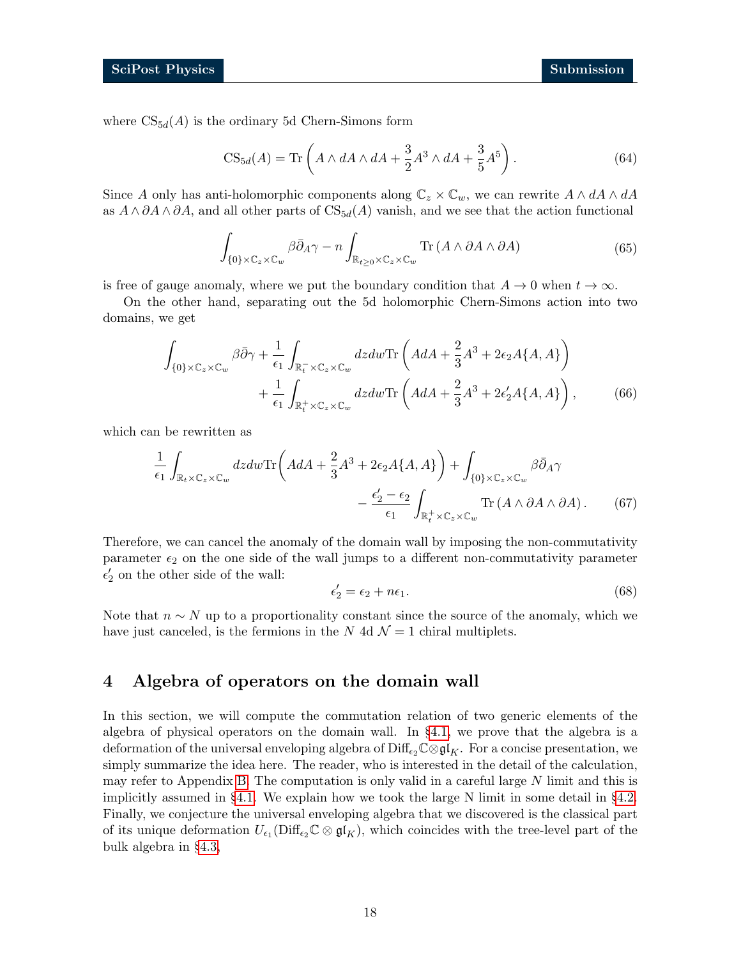where  $CS_{5d}(A)$  is the ordinary 5d Chern-Simons form

$$
CS_{5d}(A) = \text{Tr}\left(A \wedge dA \wedge dA + \frac{3}{2}A^3 \wedge dA + \frac{3}{5}A^5\right). \tag{64}
$$

Since A only has anti-holomorphic components along  $\mathbb{C}_z \times \mathbb{C}_w$ , we can rewrite  $A \wedge dA \wedge dA$ as  $A \wedge \partial A \wedge \partial A$ , and all other parts of  $CS_{5d}(A)$  vanish, and we see that the action functional

$$
\int_{\{0\}\times\mathbb{C}_z\times\mathbb{C}_w} \beta \bar{\partial}_A \gamma - n \int_{\mathbb{R}_{t\geq 0}\times\mathbb{C}_z\times\mathbb{C}_w} \text{Tr}\left(A \wedge \partial A \wedge \partial A\right) \tag{65}
$$

is free of gauge anomaly, where we put the boundary condition that  $A \to 0$  when  $t \to \infty$ .

On the other hand, separating out the 5d holomorphic Chern-Simons action into two domains, we get

$$
\int_{\{0\}\times\mathbb{C}_z\times\mathbb{C}_w} \beta \bar{\partial}\gamma + \frac{1}{\epsilon_1} \int_{\mathbb{R}_t^+\times\mathbb{C}_z\times\mathbb{C}_w} dzdw \text{Tr}\left( AdA + \frac{2}{3}A^3 + 2\epsilon_2 A\{A, A\} \right) + \frac{1}{\epsilon_1} \int_{\mathbb{R}_t^+\times\mathbb{C}_z\times\mathbb{C}_w} dzdw \text{Tr}\left( AdA + \frac{2}{3}A^3 + 2\epsilon_2' A\{A, A\} \right),
$$
 (66)

which can be rewritten as

$$
\frac{1}{\epsilon_1} \int_{\mathbb{R}_t \times \mathbb{C}_z \times \mathbb{C}_w} dzdw \text{Tr}\left( AdA + \frac{2}{3}A^3 + 2\epsilon_2 A\{A, A\} \right) + \int_{\{0\} \times \mathbb{C}_z \times \mathbb{C}_w} \beta \bar{\partial}_A \gamma \n- \frac{\epsilon_2' - \epsilon_2}{\epsilon_1} \int_{\mathbb{R}_t^+ \times \mathbb{C}_z \times \mathbb{C}_w} \text{Tr}\left( A \wedge \partial A \wedge \partial A \right).
$$
\n(67)

Therefore, we can cancel the anomaly of the domain wall by imposing the non-commutativity parameter  $\epsilon_2$  on the one side of the wall jumps to a different non-commutativity parameter  $\epsilon_2'$  on the other side of the wall:

$$
\epsilon_2' = \epsilon_2 + n\epsilon_1. \tag{68}
$$

Note that  $n \sim N$  up to a proportionality constant since the source of the anomaly, which we have just canceled, is the fermions in the N 4d  $\mathcal{N}=1$  chiral multiplets.

# <span id="page-17-0"></span>4 Algebra of operators on the domain wall

In this section, we will compute the commutation relation of two generic elements of the algebra of physical operators on the domain wall. In §[4.1,](#page-18-0) we prove that the algebra is a deformation of the universal enveloping algebra of  $\text{Diff}_{\epsilon_2}\mathbb{C}\otimes\mathfrak{gl}_K$ . For a concise presentation, we simply summarize the idea here. The reader, who is interested in the detail of the calculation, may refer to Appendix [B.](#page-25-0) The computation is only valid in a careful large N limit and this is implicitly assumed in §[4.1.](#page-18-0) We explain how we took the large N limit in some detail in §[4.2.](#page-20-0) Finally, we conjecture the universal enveloping algebra that we discovered is the classical part of its unique deformation  $U_{\epsilon_1}(\text{Diff}_{\epsilon_2}\mathbb{C}\otimes\mathfrak{gl}_K)$ , which coincides with the tree-level part of the bulk algebra in §[4.3,](#page-21-0)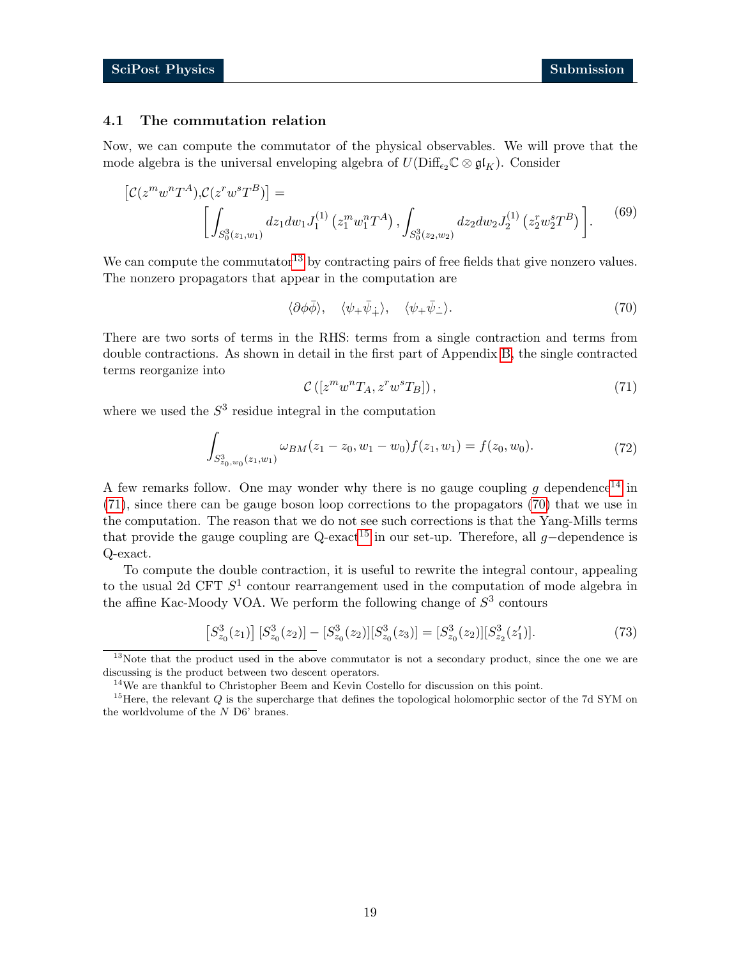#### <span id="page-18-0"></span>4.1 The commutation relation

Now, we can compute the commutator of the physical observables. We will prove that the mode algebra is the universal enveloping algebra of  $U(\text{Diff}_{\epsilon_2}\mathbb{C}\otimes\mathfrak{gl}_K)$ . Consider

$$
\left[\mathcal{C}(z^m w^n T^A), \mathcal{C}(z^r w^s T^B)\right] = \left[\int_{S_0^3(z_1, w_1)} dz_1 dw_1 J_1^{(1)}\left(z_1^m w_1^n T^A\right), \int_{S_0^3(z_2, w_2)} dz_2 dw_2 J_2^{(1)}\left(z_2^r w_2^s T^B\right)\right].
$$
 (69)

We can compute the commutator<sup>[13](#page-18-1)</sup> by contracting pairs of free fields that give nonzero values. The nonzero propagators that appear in the computation are

<span id="page-18-6"></span><span id="page-18-4"></span>
$$
\langle \partial \phi \overline{\phi} \rangle, \quad \langle \psi_+ \overline{\psi}_+ \rangle, \quad \langle \psi_+ \overline{\psi}_- \rangle. \tag{70}
$$

There are two sorts of terms in the RHS: terms from a single contraction and terms from double contractions. As shown in detail in the first part of Appendix [B,](#page-25-0) the single contracted terms reorganize into

<span id="page-18-3"></span>
$$
\mathcal{C}\left([z^m w^n T_A, z^r w^s T_B]\right),\tag{71}
$$

where we used the  $S<sup>3</sup>$  residue integral in the computation

$$
\int_{S^3_{z_0,w_0}(z_1,w_1)} \omega_{BM}(z_1-z_0,w_1-w_0) f(z_1,w_1) = f(z_0,w_0). \tag{72}
$$

A few remarks follow. One may wonder why there is no gauge coupling  $g$  dependence<sup>[14](#page-18-2)</sup> in [\(71\)](#page-18-3), since there can be gauge boson loop corrections to the propagators [\(70\)](#page-18-4) that we use in the computation. The reason that we do not see such corrections is that the Yang-Mills terms that provide the gauge coupling are Q-exact<sup>[15](#page-18-5)</sup> in our set-up. Therefore, all g-dependence is Q-exact.

To compute the double contraction, it is useful to rewrite the integral contour, appealing to the usual 2d CFT  $S^1$  contour rearrangement used in the computation of mode algebra in the affine Kac-Moody VOA. We perform the following change of  $S<sup>3</sup>$  contours

$$
\[S_{z_0}^3(z_1)\] [S_{z_0}^3(z_2)] - [S_{z_0}^3(z_2)][S_{z_0}^3(z_3)] = [S_{z_0}^3(z_2)][S_{z_2}^3(z_1)].
$$
\n(73)

<span id="page-18-1"></span><sup>&</sup>lt;sup>13</sup>Note that the product used in the above commutator is not a secondary product, since the one we are discussing is the product between two descent operators.

<span id="page-18-5"></span><span id="page-18-2"></span> $^{14}\mathrm{We}$  are thankful to Christopher Beem and Kevin Costello for discussion on this point.

<sup>&</sup>lt;sup>15</sup>Here, the relevant  $Q$  is the supercharge that defines the topological holomorphic sector of the 7d SYM on the worldvolume of the N D6' branes.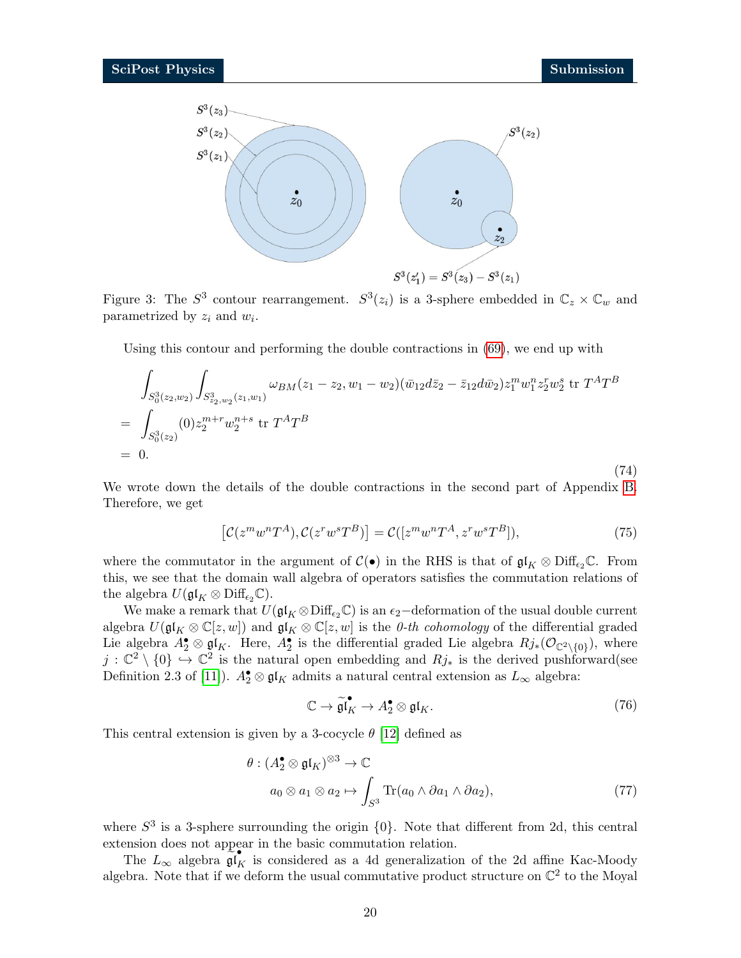<span id="page-19-1"></span>(74)



Figure 3: The  $S^3$  contour rearrangement.  $S^3(z_i)$  is a 3-sphere embedded in  $\mathbb{C}_z \times \mathbb{C}_w$  and parametrized by  $z_i$  and  $w_i$ .

Using this contour and performing the double contractions in [\(69\)](#page-18-6), we end up with

$$
\int_{S_0^3(z_2,w_2)} \int_{S_{z_2,w_2}^3(z_1,w_1)} \omega_{BM}(z_1-z_2,w_1-w_2) (\bar{w}_{12} d\bar{z}_2 - \bar{z}_{12} d\bar{w}_2) z_1^m w_1^n z_2^r w_2^s \text{ tr } T^A T^B
$$
\n
$$
= \int_{S_0^3(z_2)} (0) z_2^{m+r} w_2^{n+s} \text{ tr } T^A T^B
$$
\n
$$
= 0.
$$

We wrote down the details of the double contractions in the second part of Appendix [B.](#page-25-0) Therefore, we get

<span id="page-19-0"></span>
$$
[\mathcal{C}(z^m w^n T^A), \mathcal{C}(z^r w^s T^B)] = \mathcal{C}([z^m w^n T^A, z^r w^s T^B]),\tag{75}
$$

where the commutator in the argument of  $\mathcal{C}(\bullet)$  in the RHS is that of  $\mathfrak{gl}_K \otimes \mathrm{Diff}_{\epsilon_2}\mathbb{C}$ . From this, we see that the domain wall algebra of operators satisfies the commutation relations of the algebra  $U(\mathfrak{gl}_K \otimes \mathrm{Diff}_{\epsilon_2}\mathbb{C}).$ 

We make a remark that  $U(\mathfrak{gl}_K \otimes \mathrm{Diff}_{\epsilon_2}\mathbb{C})$  is an  $\epsilon_2$ −deformation of the usual double current algebra  $U(\mathfrak{gl}_K \otimes \mathbb{C}[z,w])$  and  $\mathfrak{gl}_K \otimes \mathbb{C}[z,w]$  is the *0-th cohomology* of the differential graded Lie algebra  $A_2^{\bullet} \otimes \mathfrak{gl}_K$ . Here,  $A_2^{\bullet}$  is the differential graded Lie algebra  $Rj_*(\mathcal{O}_{\mathbb{C}^2\setminus\{0\}})$ , where  $j: \mathbb{C}^2 \setminus \{0\} \to \mathbb{C}^2$  is the natural open embedding and  $Rj_*$  is the derived pushforward(see Definition 2.3 of [\[11\]](#page-28-9)).  $A_2^{\bullet} \otimes \mathfrak{gl}_K$  admits a natural central extension as  $L_{\infty}$  algebra:

$$
\mathbb{C} \to \widetilde{\mathfrak{gl}}_K^{\bullet} \to A_2^{\bullet} \otimes \mathfrak{gl}_K. \tag{76}
$$

This central extension is given by a 3-cocycle  $\theta$  [\[12\]](#page-28-10) defined as

$$
\theta: (A_2^{\bullet} \otimes \mathfrak{gl}_K)^{\otimes 3} \to \mathbb{C}
$$
  
\n
$$
a_0 \otimes a_1 \otimes a_2 \mapsto \int_{S^3} \text{Tr}(a_0 \wedge \partial a_1 \wedge \partial a_2), \tag{77}
$$

where  $S^3$  is a 3-sphere surrounding the origin  $\{0\}$ . Note that different from 2d, this central extension does not appear in the basic commutation relation.

The  $L_{\infty}$  algebra  $\widehat{\mathfrak{gl}}_K$  is considered as a 4d generalization of the 2d affine Kac-Moody algebra. Note that if we deform the usual commutative product structure on  $\mathbb{C}^2$  to the Moyal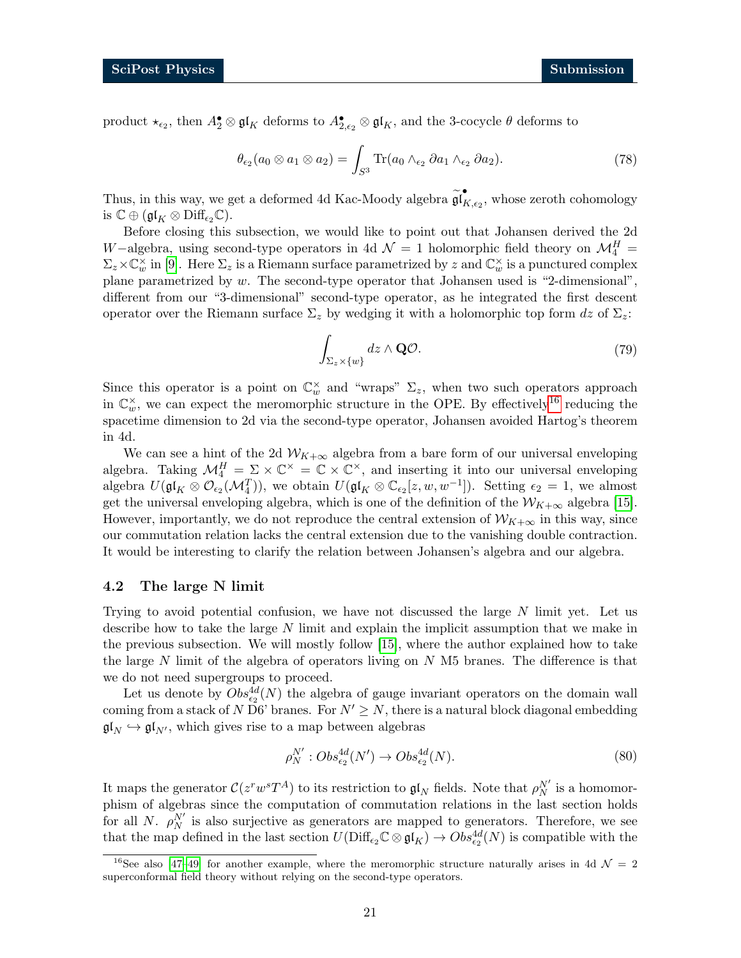product  $\star_{\epsilon_2}$ , then  $A_2^{\bullet} \otimes \mathfrak{gl}_K$  deforms to  $A_{2,\epsilon_2}^{\bullet} \otimes \mathfrak{gl}_K$ , and the 3-cocycle  $\theta$  deforms to

$$
\theta_{\epsilon_2}(a_0 \otimes a_1 \otimes a_2) = \int_{S^3} \text{Tr}(a_0 \wedge_{\epsilon_2} \partial a_1 \wedge_{\epsilon_2} \partial a_2).
$$
 (78)

Thus, in this way, we get a deformed 4d Kac-Moody algebra  $\widetilde{\mathfrak{gl}}_F^{\bullet}$  $K_{,\epsilon_2}$ , whose zeroth cohomology is  $\mathbb{C} \oplus (\mathfrak{gl}_K \otimes \mathrm{Diff}_{\epsilon_2}\mathbb{C}).$ 

Before closing this subsection, we would like to point out that Johansen derived the 2d W−algebra, using second-type operators in 4d  $\mathcal{N}=1$  holomorphic field theory on  $\mathcal{M}_{4}^{H}$  =  $\Sigma_z \times \mathbb{C}_w^{\times}$  in [\[9\]](#page-28-11). Here  $\Sigma_z$  is a Riemann surface parametrized by z and  $\mathbb{C}_w^{\times}$  is a punctured complex plane parametrized by  $w$ . The second-type operator that Johansen used is "2-dimensional", different from our "3-dimensional" second-type operator, as he integrated the first descent operator over the Riemann surface  $\Sigma_z$  by wedging it with a holomorphic top form dz of  $\Sigma_z$ :

$$
\int_{\Sigma_z \times \{w\}} dz \wedge \mathbf{Q} \mathcal{O}.\tag{79}
$$

Since this operator is a point on  $\mathbb{C}_w^{\times}$  and "wraps"  $\Sigma_z$ , when two such operators approach in  $\mathbb{C}_w^{\times}$ , we can expect the meromorphic structure in the OPE. By effectively<sup>[16](#page-20-1)</sup> reducing the spacetime dimension to 2d via the second-type operator, Johansen avoided Hartog's theorem in 4d.

We can see a hint of the 2d  $W_{K+\infty}$  algebra from a bare form of our universal enveloping algebra. Taking  $\mathcal{M}_4^H = \Sigma \times \mathbb{C}^\times = \mathbb{C} \times \mathbb{C}^\times$ , and inserting it into our universal enveloping algebra  $U(\mathfrak{gl}_K \otimes \mathcal{O}_{\epsilon_2}(\mathcal{M}_4^T))$ , we obtain  $U(\mathfrak{gl}_K \otimes \mathbb{C}_{\epsilon_2}[z,w,w^{-1}])$ . Setting  $\epsilon_2 = 1$ , we almost get the universal enveloping algebra, which is one of the definition of the  $W_{K+\infty}$  algebra [\[15\]](#page-29-2). However, importantly, we do not reproduce the central extension of  $\mathcal{W}_{K+\infty}$  in this way, since our commutation relation lacks the central extension due to the vanishing double contraction. It would be interesting to clarify the relation between Johansen's algebra and our algebra.

#### <span id="page-20-0"></span>4.2 The large N limit

Trying to avoid potential confusion, we have not discussed the large  $N$  limit yet. Let us describe how to take the large N limit and explain the implicit assumption that we make in the previous subsection. We will mostly follow [\[15\]](#page-29-2), where the author explained how to take the large  $N$  limit of the algebra of operators living on  $N$  M5 branes. The difference is that we do not need supergroups to proceed.

Let us denote by  $Obs_{\epsilon_2}^{4d}(N)$  the algebra of gauge invariant operators on the domain wall coming from a stack of N D6' branes. For  $N' \geq N$ , there is a natural block diagonal embedding  $\mathfrak{gl}_N \hookrightarrow \mathfrak{gl}_{N'}$ , which gives rise to a map between algebras

$$
\rho_N^{N'}: Obs_{\epsilon_2}^{4d}(N') \to Obs_{\epsilon_2}^{4d}(N). \tag{80}
$$

It maps the generator  $C(z^rw^sT^A)$  to its restriction to  $\mathfrak{gl}_N$  fields. Note that  $\rho_N^{N'}$  is a homomorphism of algebras since the computation of commutation relations in the last section holds for all N.  $\rho_N^{N'}$  is also surjective as generators are mapped to generators. Therefore, we see that the map defined in the last section  $U(\text{Diff}_{\epsilon_2}\mathbb{C}\otimes\mathfrak{gl}_K) \to Obs_{\epsilon_2}^{4d}(N)$  is compatible with the

<span id="page-20-1"></span><sup>&</sup>lt;sup>16</sup>See also [\[47–](#page-31-2)[49\]](#page-31-3) for another example, where the meromorphic structure naturally arises in 4d  $\mathcal{N}=2$ superconformal field theory without relying on the second-type operators.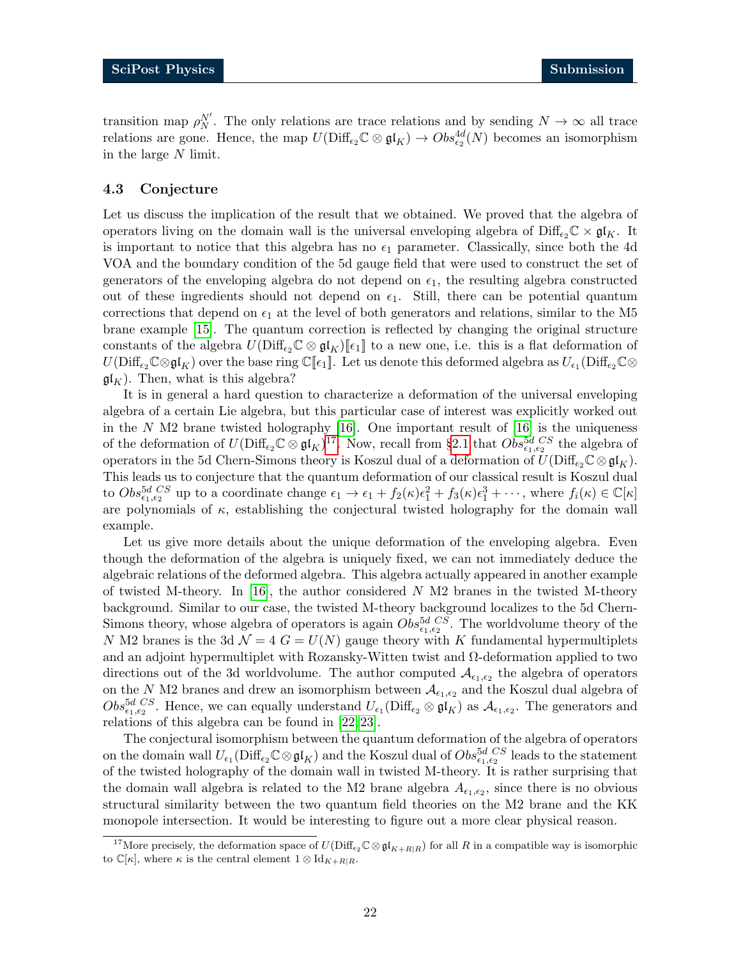transition map  $\rho_N^{N'}$ . The only relations are trace relations and by sending  $N \to \infty$  all trace relations are gone. Hence, the map  $U(\text{Diff}_{\epsilon_2}\mathbb{C}\otimes\mathfrak{gl}_K)\to Obs_{\epsilon_2}^{4d}(N)$  becomes an isomorphism in the large N limit.

#### <span id="page-21-0"></span>4.3 Conjecture

Let us discuss the implication of the result that we obtained. We proved that the algebra of operators living on the domain wall is the universal enveloping algebra of  $\text{Diff}_{\epsilon_2}\mathbb{C} \times \mathfrak{gl}_K$ . It is important to notice that this algebra has no  $\epsilon_1$  parameter. Classically, since both the 4d VOA and the boundary condition of the 5d gauge field that were used to construct the set of generators of the enveloping algebra do not depend on  $\epsilon_1$ , the resulting algebra constructed out of these ingredients should not depend on  $\epsilon_1$ . Still, there can be potential quantum corrections that depend on  $\epsilon_1$  at the level of both generators and relations, similar to the M5 brane example [\[15\]](#page-29-2). The quantum correction is reflected by changing the original structure constants of the algebra  $U(\text{Diff}_{\epsilon_2}\mathbb{C}\otimes \mathfrak{gl}_K)\mathbb{F}_{\epsilon_1}\mathbb{F}$  to a new one, i.e. this is a flat deformation of  $U(\text{Diff}_{\epsilon_2}\mathbb{C}\otimes\mathfrak{gl}_K)$  over the base ring  $\mathbb{C}[\![\epsilon_1]\!]$ . Let us denote this deformed algebra as  $U_{\epsilon_1}(\text{Diff}_{\epsilon_2}\mathbb{C}\otimes\mathfrak{gl}_K)$  $\mathfrak{gl}_K$ ). Then, what is this algebra?

It is in general a hard question to characterize a deformation of the universal enveloping algebra of a certain Lie algebra, but this particular case of interest was explicitly worked out in the  $N$  M2 brane twisted holography [\[16\]](#page-29-3). One important result of [16] is the uniqueness of the deformation of  $U(\text{Diff}_{\epsilon_2}\mathbb{C}\otimes \mathfrak{gl}_K)^{17}$  $U(\text{Diff}_{\epsilon_2}\mathbb{C}\otimes \mathfrak{gl}_K)^{17}$  $U(\text{Diff}_{\epsilon_2}\mathbb{C}\otimes \mathfrak{gl}_K)^{17}$ . Now, recall from §[2.1](#page-3-1) that  $Obs_{\epsilon_1,\epsilon_2}^{5d}$  CS the algebra of operators in the 5d Chern-Simons theory is Koszul dual of a deformation of  $U(\text{Diff}_{\epsilon_2}\mathbb{C}\otimes\mathfrak{gl}_K)$ . This leads us to conjecture that the quantum deformation of our classical result is Koszul dual to  $Obs_{\epsilon_1,\epsilon_2}^{5d}$  up to a coordinate change  $\epsilon_1 \to \epsilon_1 + f_2(\kappa)\epsilon_1^2 + f_3(\kappa)\epsilon_1^3 + \cdots$ , where  $f_i(\kappa) \in \mathbb{C}[\kappa]$ are polynomials of  $\kappa$ , establishing the conjectural twisted holography for the domain wall example.

Let us give more details about the unique deformation of the enveloping algebra. Even though the deformation of the algebra is uniquely fixed, we can not immediately deduce the algebraic relations of the deformed algebra. This algebra actually appeared in another example of twisted M-theory. In [\[16\]](#page-29-3), the author considered  $N$  M2 branes in the twisted M-theory background. Similar to our case, the twisted M-theory background localizes to the 5d Chern-Simons theory, whose algebra of operators is again  $Obs_{\epsilon_1,\epsilon_2}^{5d\;\;CS}$ . The worldvolume theory of the N M2 branes is the 3d  $\mathcal{N} = 4$  G =  $U(N)$  gauge theory with K fundamental hypermultiplets and an adjoint hypermultiplet with Rozansky-Witten twist and  $\Omega$ -deformation applied to two directions out of the 3d worldvolume. The author computed  $\mathcal{A}_{\epsilon_1,\epsilon_2}$  the algebra of operators on the N M2 branes and drew an isomorphism between  $\mathcal{A}_{\epsilon_1,\epsilon_2}$  and the Koszul dual algebra of  $Obs_{\epsilon_1,\epsilon_2}^{5d\;CS}$ . Hence, we can equally understand  $U_{\epsilon_1}(\text{Diff}_{\epsilon_2}\otimes \mathfrak{gl}_K)$  as  $\mathcal{A}_{\epsilon_1,\epsilon_2}$ . The generators and relations of this algebra can be found in [\[22,](#page-29-14) [23\]](#page-29-7).

The conjectural isomorphism between the quantum deformation of the algebra of operators on the domain wall  $U_{\epsilon_1}(\text{Diff}_{\epsilon_2}\mathbb{C}\otimes\mathfrak{gl}_K)$  and the Koszul dual of  $Obs_{\epsilon_1,\epsilon_2}^{5d\;CS}$  leads to the statement of the twisted holography of the domain wall in twisted M-theory. It is rather surprising that the domain wall algebra is related to the M2 brane algebra  $A_{\epsilon_1,\epsilon_2}$ , since there is no obvious structural similarity between the two quantum field theories on the M2 brane and the KK monopole intersection. It would be interesting to figure out a more clear physical reason.

<span id="page-21-1"></span><sup>&</sup>lt;sup>17</sup>More precisely, the deformation space of  $U(\text{Diff}_{\epsilon_2}\mathbb{C}\otimes\mathfrak{gl}_{K+R|R})$  for all R in a compatible way is isomorphic to  $\mathbb{C}[\kappa]$ , where  $\kappa$  is the central element  $1 \otimes \mathrm{Id}_{K+R|R}$ .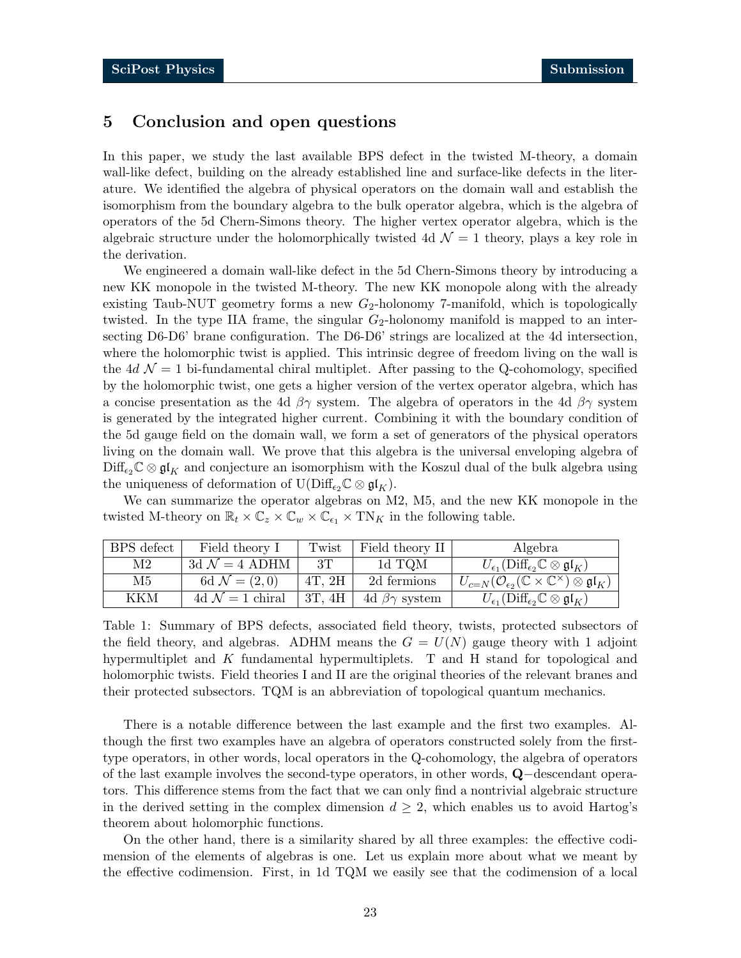### <span id="page-22-0"></span>5 Conclusion and open questions

In this paper, we study the last available BPS defect in the twisted M-theory, a domain wall-like defect, building on the already established line and surface-like defects in the literature. We identified the algebra of physical operators on the domain wall and establish the isomorphism from the boundary algebra to the bulk operator algebra, which is the algebra of operators of the 5d Chern-Simons theory. The higher vertex operator algebra, which is the algebraic structure under the holomorphically twisted 4d  $\mathcal{N} = 1$  theory, plays a key role in the derivation.

We engineered a domain wall-like defect in the 5d Chern-Simons theory by introducing a new KK monopole in the twisted M-theory. The new KK monopole along with the already existing Taub-NUT geometry forms a new  $G_2$ -holonomy 7-manifold, which is topologically twisted. In the type IIA frame, the singular  $G_2$ -holonomy manifold is mapped to an intersecting D6-D6' brane configuration. The D6-D6' strings are localized at the 4d intersection, where the holomorphic twist is applied. This intrinsic degree of freedom living on the wall is the 4d  $\mathcal{N} = 1$  bi-fundamental chiral multiplet. After passing to the Q-cohomology, specified by the holomorphic twist, one gets a higher version of the vertex operator algebra, which has a concise presentation as the 4d  $\beta\gamma$  system. The algebra of operators in the 4d  $\beta\gamma$  system is generated by the integrated higher current. Combining it with the boundary condition of the 5d gauge field on the domain wall, we form a set of generators of the physical operators living on the domain wall. We prove that this algebra is the universal enveloping algebra of  $\text{Diff}_{\epsilon_2}\mathbb{C}\otimes\mathfrak{gl}_K$  and conjecture an isomorphism with the Koszul dual of the bulk algebra using the uniqueness of deformation of  $U(\text{Diff}_{\epsilon_2}\mathbb{C}\otimes\mathfrak{gl}_K)$ .

We can summarize the operator algebras on M2, M5, and the new KK monopole in the twisted M-theory on  $\mathbb{R}_t \times \mathbb{C}_z \times \mathbb{C}_w \times \mathbb{C}_{\epsilon_1} \times \mathrm{TN}_K$  in the following table.

| BPS defect     | Field theory I              | Twist       | Field theory II         | Algebra                                                                                         |
|----------------|-----------------------------|-------------|-------------------------|-------------------------------------------------------------------------------------------------|
| M <sub>2</sub> | 3d $\mathcal{N}=4$ ADHM     | 3T          | 1d TQM                  | $U_{\epsilon_1}(\text{Diff}_{\epsilon_2}\mathbb{C}\otimes\mathfrak{gl}_K)$                      |
| M5             | 6d $\mathcal{N} = (2,0)$    | $4T$ , $2H$ | 2d fermions             | $U_{c=N}(\mathcal{O}_{\epsilon_2}(\mathbb{C}\times\mathbb{C}^{\times})\otimes \mathfrak{gl}_K)$ |
| KKM            | 4d $\mathcal{N} = 1$ chiral | 3T, 4H      | 4d $\beta\gamma$ system | $U_{\epsilon_1}(\text{Diff}_{\epsilon_2}\mathbb{C}\otimes\mathfrak{gl}_K)$                      |

Table 1: Summary of BPS defects, associated field theory, twists, protected subsectors of the field theory, and algebras. ADHM means the  $G = U(N)$  gauge theory with 1 adjoint hypermultiplet and K fundamental hypermultiplets. T and H stand for topological and holomorphic twists. Field theories I and II are the original theories of the relevant branes and their protected subsectors. TQM is an abbreviation of topological quantum mechanics.

There is a notable difference between the last example and the first two examples. Although the first two examples have an algebra of operators constructed solely from the firsttype operators, in other words, local operators in the Q-cohomology, the algebra of operators of the last example involves the second-type operators, in other words, Q−descendant operators. This difference stems from the fact that we can only find a nontrivial algebraic structure in the derived setting in the complex dimension  $d \geq 2$ , which enables us to avoid Hartog's theorem about holomorphic functions.

On the other hand, there is a similarity shared by all three examples: the effective codimension of the elements of algebras is one. Let us explain more about what we meant by the effective codimension. First, in 1d TQM we easily see that the codimension of a local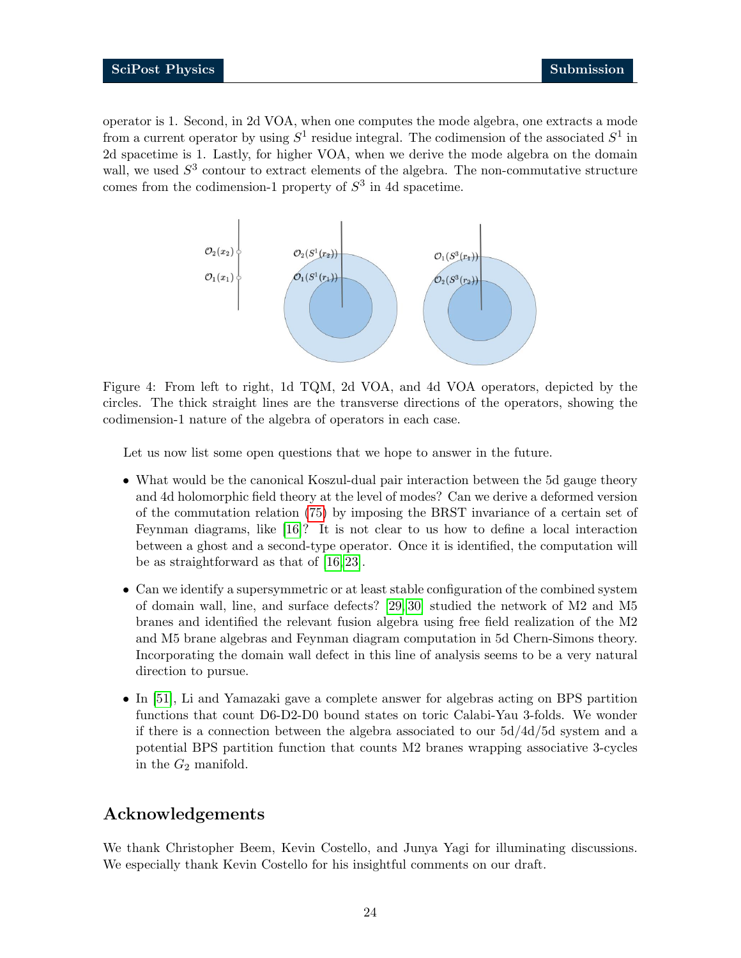operator is 1. Second, in 2d VOA, when one computes the mode algebra, one extracts a mode from a current operator by using  $S^1$  residue integral. The codimension of the associated  $S^1$  in 2d spacetime is 1. Lastly, for higher VOA, when we derive the mode algebra on the domain wall, we used  $S<sup>3</sup>$  contour to extract elements of the algebra. The non-commutative structure comes from the codimension-1 property of  $S<sup>3</sup>$  in 4d spacetime.

<span id="page-23-0"></span>

Figure 4: From left to right, 1d TQM, 2d VOA, and 4d VOA operators, depicted by the circles. The thick straight lines are the transverse directions of the operators, showing the codimension-1 nature of the algebra of operators in each case.

Let us now list some open questions that we hope to answer in the future.

- What would be the canonical Koszul-dual pair interaction between the 5d gauge theory and 4d holomorphic field theory at the level of modes? Can we derive a deformed version of the commutation relation [\(75\)](#page-19-0) by imposing the BRST invariance of a certain set of Feynman diagrams, like [\[16\]](#page-29-3)? It is not clear to us how to define a local interaction between a ghost and a second-type operator. Once it is identified, the computation will be as straightforward as that of [\[16,](#page-29-3) [23\]](#page-29-7).
- Can we identify a supersymmetric or at least stable configuration of the combined system of domain wall, line, and surface defects? [\[29,](#page-29-13) [30\]](#page-30-0) studied the network of M2 and M5 branes and identified the relevant fusion algebra using free field realization of the M2 and M5 brane algebras and Feynman diagram computation in 5d Chern-Simons theory. Incorporating the domain wall defect in this line of analysis seems to be a very natural direction to pursue.
- In [\[51\]](#page-31-4), Li and Yamazaki gave a complete answer for algebras acting on BPS partition functions that count D6-D2-D0 bound states on toric Calabi-Yau 3-folds. We wonder if there is a connection between the algebra associated to our 5d/4d/5d system and a potential BPS partition function that counts M2 branes wrapping associative 3-cycles in the  $G_2$  manifold.

# Acknowledgements

We thank Christopher Beem, Kevin Costello, and Junya Yagi for illuminating discussions. We especially thank Kevin Costello for his insightful comments on our draft.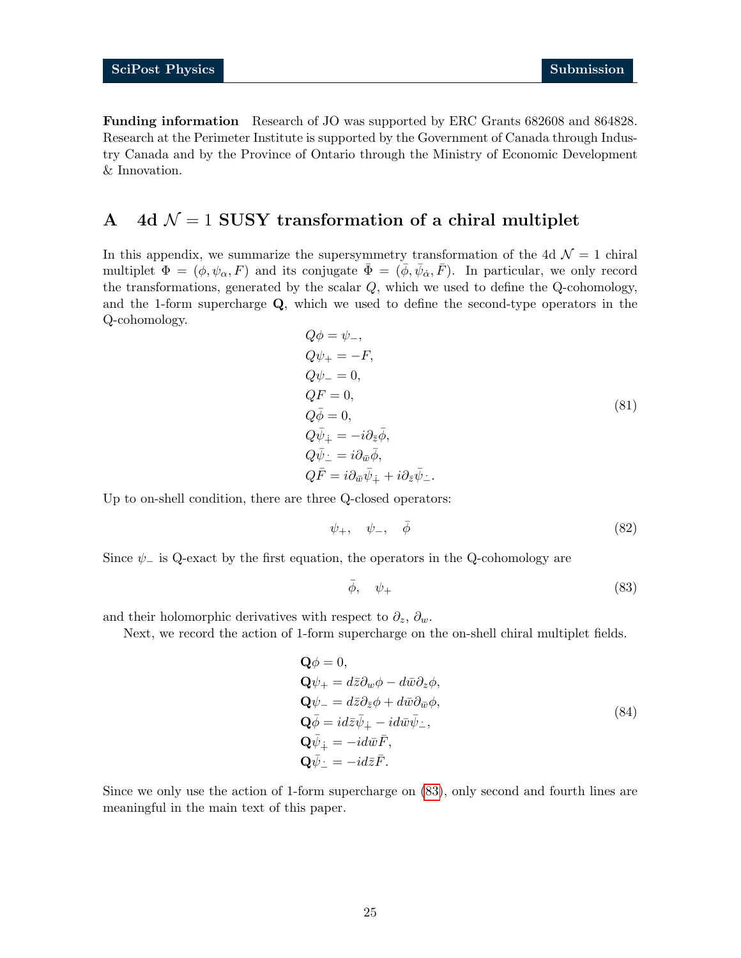Funding information Research of JO was supported by ERC Grants 682608 and 864828. Research at the Perimeter Institute is supported by the Government of Canada through Industry Canada and by the Province of Ontario through the Ministry of Economic Development & Innovation.

# <span id="page-24-0"></span>A 4d  $\mathcal{N} = 1$  SUSY transformation of a chiral multiplet

In this appendix, we summarize the supersymmetry transformation of the 4d  $\mathcal{N}=1$  chiral multiplet  $\Phi = (\phi, \psi_\alpha, F)$  and its conjugate  $\bar{\Phi} = (\bar{\phi}, \bar{\psi}_\alpha, \bar{F})$ . In particular, we only record the transformations, generated by the scalar Q, which we used to define the Q-cohomology, and the 1-form supercharge  $Q$ , which we used to define the second-type operators in the Q-cohomology.

$$
Q\phi = \psi_-,
$$
  
\n
$$
Q\psi_+ = -F,
$$
  
\n
$$
Q\psi_- = 0,
$$
  
\n
$$
Q\bar{F} = 0,
$$
  
\n
$$
Q\bar{\psi}_+ = -i\partial_{\bar{z}}\bar{\phi},
$$
  
\n
$$
Q\bar{\psi}_- = i\partial_{\bar{w}}\bar{\phi},
$$
  
\n
$$
Q\bar{F} = i\partial_{\bar{w}}\bar{\psi}_+ + i\partial_{\bar{z}}\bar{\psi}_-.
$$
\n(81)

Up to on-shell condition, there are three Q-closed operators:

$$
\psi_+,\quad \psi_-,\quad \bar{\phi}\tag{82}
$$

Since  $\psi$  is Q-exact by the first equation, the operators in the Q-cohomology are

<span id="page-24-1"></span>
$$
\bar{\phi}, \quad \psi_+ \tag{83}
$$

and their holomorphic derivatives with respect to  $\partial_z$ ,  $\partial_w$ .

Next, we record the action of 1-form supercharge on the on-shell chiral multiplet fields.

$$
\begin{aligned}\n\mathbf{Q}\phi &= 0, \\
\mathbf{Q}\psi_{+} &= d\bar{z}\partial_{w}\phi - d\bar{w}\partial_{z}\phi, \\
\mathbf{Q}\psi_{-} &= d\bar{z}\partial_{\bar{z}}\phi + d\bar{w}\partial_{\bar{w}}\phi, \\
\mathbf{Q}\bar{\phi} &= id\bar{z}\bar{\psi}_{\dot{+}} - id\bar{w}\bar{\psi}_{\dot{-}}, \\
\mathbf{Q}\bar{\psi}_{\dot{+}} &= -id\bar{w}\bar{F}, \\
\mathbf{Q}\bar{\psi}_{\dot{-}} &= -id\bar{z}\bar{F}.\n\end{aligned}
$$
\n(84)

Since we only use the action of 1-form supercharge on [\(83\)](#page-24-1), only second and fourth lines are meaningful in the main text of this paper.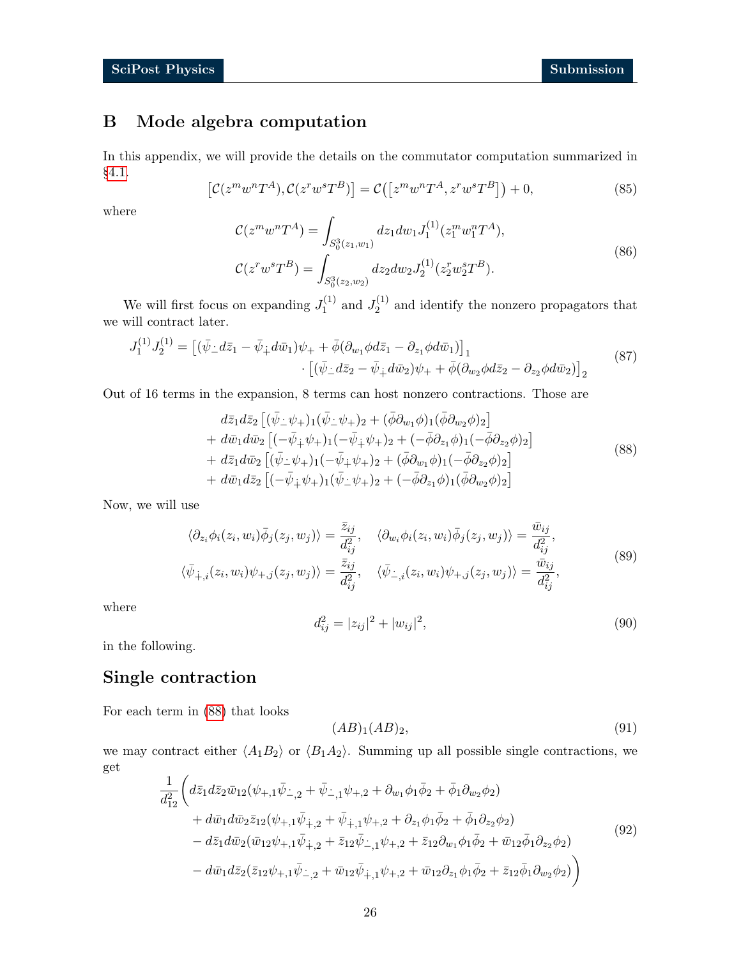# <span id="page-25-0"></span>B Mode algebra computation

<span id="page-25-2"></span>In this appendix, we will provide the details on the commutator computation summarized in §[4.1.](#page-18-0)

$$
\left[\mathcal{C}(z^m w^n T^A), \mathcal{C}(z^r w^s T^B)\right] = \mathcal{C}\left(\left[z^m w^n T^A, z^r w^s T^B\right]\right) + 0,\tag{85}
$$

where

$$
\mathcal{C}(z^m w^n T^A) = \int_{S_0^3(z_1, w_1)} dz_1 dw_1 J_1^{(1)}(z_1^m w_1^n T^A),
$$
  

$$
\mathcal{C}(z^r w^s T^B) = \int_{S_0^3(z_2, w_2)} dz_2 dw_2 J_2^{(1)}(z_2^r w_2^s T^B).
$$
 (86)

We will first focus on expanding  $J_1^{(1)}$  $J_1^{(1)}$  and  $J_2^{(1)}$  $2^{(1)}$  and identify the nonzero propagators that we will contract later.

$$
J_1^{(1)}J_2^{(1)} = \left[ (\bar{\psi}_\perp d\bar{z}_1 - \bar{\psi}_\perp d\bar{w}_1) \psi_+ + \bar{\phi} (\partial_{w_1} \phi d\bar{z}_1 - \partial_{z_1} \phi d\bar{w}_1) \right]_1 \cdot \left[ (\bar{\psi}_\perp d\bar{z}_2 - \bar{\psi}_\perp d\bar{w}_2) \psi_+ + \bar{\phi} (\partial_{w_2} \phi d\bar{z}_2 - \partial_{z_2} \phi d\bar{w}_2) \right]_2
$$
\n(87)

Out of 16 terms in the expansion, 8 terms can host nonzero contractions. Those are

<span id="page-25-1"></span> $\mathbb{Z}^{\mathbb{Z}}$ 

$$
d\bar{z}_{1}d\bar{z}_{2}\left[ (\bar{\psi}_{-}\psi_{+})_{1}(\bar{\psi}_{-}\psi_{+})_{2} + (\bar{\phi}\partial_{w_{1}}\phi)_{1}(\bar{\phi}\partial_{w_{2}}\phi)_{2}\right] + d\bar{w}_{1}d\bar{w}_{2}\left[ (-\bar{\psi}_{+}\psi_{+})_{1}(-\bar{\psi}_{+}\psi_{+})_{2} + (-\bar{\phi}\partial_{z_{1}}\phi)_{1}(-\bar{\phi}\partial_{z_{2}}\phi)_{2}\right] + d\bar{z}_{1}d\bar{w}_{2}\left[ (\bar{\psi}_{-}\psi_{+})_{1}(-\bar{\psi}_{+}\psi_{+})_{2} + (\bar{\phi}\partial_{w_{1}}\phi)_{1}(-\bar{\phi}\partial_{z_{2}}\phi)_{2}\right] + d\bar{w}_{1}d\bar{z}_{2}\left[ (-\bar{\psi}_{+}\psi_{+})_{1}(\bar{\psi}_{-}\psi_{+})_{2} + (-\bar{\phi}\partial_{z_{1}}\phi)_{1}(\bar{\phi}\partial_{w_{2}}\phi)_{2}\right]
$$
(88)

Now, we will use

$$
\langle \partial_{z_i} \phi_i(z_i, w_i) \bar{\phi}_j(z_j, w_j) \rangle = \frac{\bar{z}_{ij}}{d_{ij}^2}, \quad \langle \partial_{w_i} \phi_i(z_i, w_i) \bar{\phi}_j(z_j, w_j) \rangle = \frac{\bar{w}_{ij}}{d_{ij}^2},
$$
  

$$
\langle \bar{\psi}_{+,i}(z_i, w_i) \psi_{+,j}(z_j, w_j) \rangle = \frac{\bar{z}_{ij}}{d_{ij}^2}, \quad \langle \bar{\psi}_{-,i}(z_i, w_i) \psi_{+,j}(z_j, w_j) \rangle = \frac{\bar{w}_{ij}}{d_{ij}^2},
$$
\n
$$
(89)
$$

where

$$
d_{ij}^2 = |z_{ij}|^2 + |w_{ij}|^2,\t\t(90)
$$

in the following.

# Single contraction

For each term in [\(88\)](#page-25-1) that looks

$$
(AB)_1(AB)_2,\t\t(91)
$$

we may contract either  $\langle A_1B_2 \rangle$  or  $\langle B_1A_2 \rangle$ . Summing up all possible single contractions, we get

$$
\frac{1}{d_{12}^{2}} \left( d\bar{z}_{1} d\bar{z}_{2} \bar{w}_{12} (\psi_{+,1} \bar{\psi}_{-,2} + \bar{\psi}_{-,1} \psi_{+,2} + \partial_{w_{1}} \phi_{1} \bar{\phi}_{2} + \bar{\phi}_{1} \partial_{w_{2}} \phi_{2}) \right.\n+ d\bar{w}_{1} d\bar{w}_{2} \bar{z}_{12} (\psi_{+,1} \bar{\psi}_{+,2} + \bar{\psi}_{+,1} \psi_{+,2} + \partial_{z_{1}} \phi_{1} \bar{\phi}_{2} + \bar{\phi}_{1} \partial_{z_{2}} \phi_{2})\n- d\bar{z}_{1} d\bar{w}_{2} (\bar{w}_{12} \psi_{+,1} \bar{\psi}_{+,2} + \bar{z}_{12} \bar{\psi}_{-,1} \psi_{+,2} + \bar{z}_{12} \partial_{w_{1}} \phi_{1} \bar{\phi}_{2} + \bar{w}_{12} \bar{\phi}_{1} \partial_{z_{2}} \phi_{2})\n- d\bar{w}_{1} d\bar{z}_{2} (\bar{z}_{12} \psi_{+,1} \bar{\psi}_{-,2} + \bar{w}_{12} \bar{\psi}_{+,1} \psi_{+,2} + \bar{w}_{12} \partial_{z_{1}} \phi_{1} \bar{\phi}_{2} + \bar{z}_{12} \bar{\phi}_{1} \partial_{w_{2}} \phi_{2})
$$
\n(92)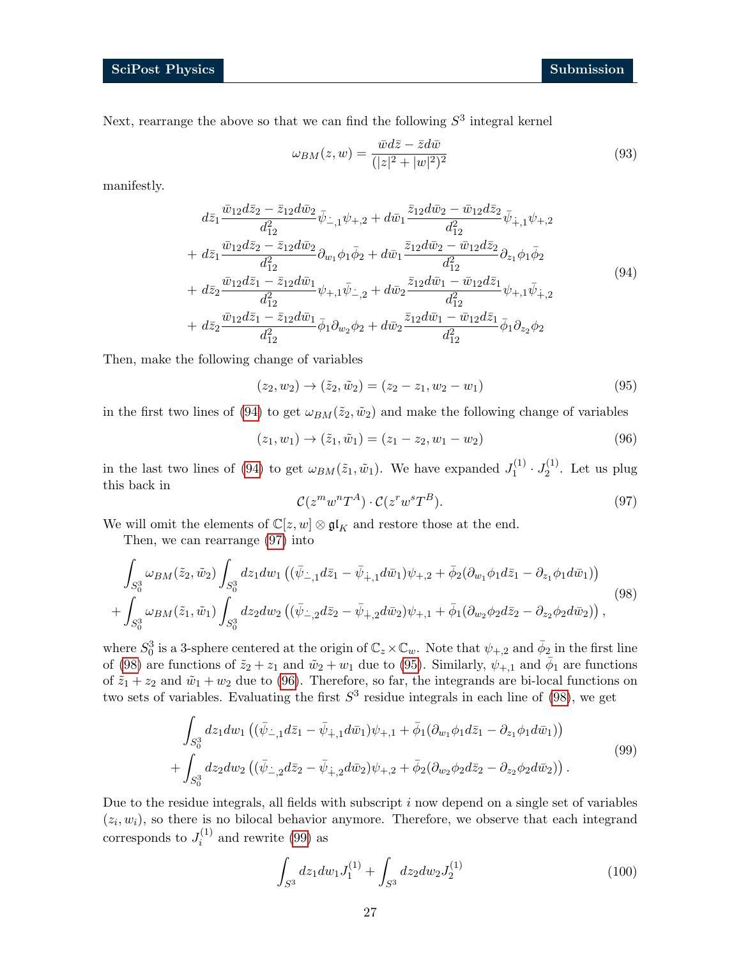Next, rearrange the above so that we can find the following  $S<sup>3</sup>$  integral kernel

$$
\omega_{BM}(z,w) = \frac{\bar{w}d\bar{z} - \bar{z}d\bar{w}}{(|z|^2 + |w|^2)^2}
$$
\n(93)

manifestly.

<span id="page-26-0"></span>
$$
d\bar{z}_{1} \frac{\bar{w}_{12}d\bar{z}_{2} - \bar{z}_{12}d\bar{w}_{2}}{d_{12}^{2}} \bar{\psi}_{-,1}\psi_{+,2} + d\bar{w}_{1} \frac{\bar{z}_{12}d\bar{w}_{2} - \bar{w}_{12}d\bar{z}_{2}}{d_{12}^{2}} \bar{\psi}_{+,1}\psi_{+,2} + d\bar{z}_{1} \frac{\bar{w}_{12}d\bar{z}_{2} - \bar{z}_{12}d\bar{w}_{2}}{d_{12}^{2}} \partial_{w_{1}}\phi_{1}\bar{\phi}_{2} + d\bar{w}_{1} \frac{\bar{z}_{12}d\bar{w}_{2} - \bar{w}_{12}d\bar{z}_{2}}{d_{12}^{2}} \partial_{z_{1}}\phi_{1}\bar{\phi}_{2} + d\bar{z}_{2} \frac{\bar{w}_{12}d\bar{z}_{1} - \bar{z}_{12}d\bar{w}_{1}}{d_{12}^{2}} \psi_{+,1}\bar{\psi}_{-,2} + d\bar{w}_{2} \frac{\bar{z}_{12}d\bar{w}_{1} - \bar{w}_{12}d\bar{z}_{1}}{d_{12}^{2}} \psi_{+,1}\bar{\psi}_{+,2} + d\bar{z}_{2} \frac{\bar{w}_{12}d\bar{z}_{1} - \bar{z}_{12}d\bar{w}_{1}}{d_{12}^{2}} \bar{\phi}_{1}\partial_{w_{2}}\phi_{2} + d\bar{w}_{2} \frac{\bar{z}_{12}d\bar{w}_{1} - \bar{w}_{12}d\bar{z}_{1}}{d_{12}^{2}} \bar{\phi}_{1}\partial_{z_{2}}\phi_{2}
$$
\n
$$
(94)
$$

Then, make the following change of variables

<span id="page-26-3"></span>
$$
(z_2, w_2) \to (\tilde{z}_2, \tilde{w}_2) = (z_2 - z_1, w_2 - w_1)
$$
\n(95)

in the first two lines of [\(94\)](#page-26-0) to get  $\omega_{BM}(\tilde{z}_2, \tilde{w}_2)$  and make the following change of variables

$$
(z_1, w_1) \to (\tilde{z}_1, \tilde{w}_1) = (z_1 - z_2, w_1 - w_2)
$$
\n(96)

<span id="page-26-1"></span>in the last two lines of [\(94\)](#page-26-0) to get  $\omega_{BM}(\tilde{z}_1, \tilde{w}_1)$ . We have expanded  $J_1^{(1)}$  $J_1^{(1)} \cdot J_2^{(1)}$  $2^{(1)}$ . Let us plug this back in

<span id="page-26-5"></span><span id="page-26-4"></span><span id="page-26-2"></span>
$$
\mathcal{C}(z^m w^n T^A) \cdot \mathcal{C}(z^r w^s T^B). \tag{97}
$$

We will omit the elements of  $\mathbb{C}[z,w] \otimes \mathfrak{gl}_K$  and restore those at the end.

Then, we can rearrange [\(97\)](#page-26-1) into

$$
\int_{S_0^3} \omega_{BM}(\tilde{z}_2, \tilde{w}_2) \int_{S_0^3} dz_1 dw_1 \left( (\bar{\psi}_{-,1} d\bar{z}_1 - \bar{\psi}_{+,1} d\bar{w}_1) \psi_{+,2} + \bar{\phi}_2 (\partial_{w_1} \phi_1 d\bar{z}_1 - \partial_{z_1} \phi_1 d\bar{w}_1) \right) + \int_{S_0^3} \omega_{BM}(\tilde{z}_1, \tilde{w}_1) \int_{S_0^3} dz_2 dw_2 \left( (\bar{\psi}_{-,2} d\bar{z}_2 - \bar{\psi}_{+,2} d\bar{w}_2) \psi_{+,1} + \bar{\phi}_1 (\partial_{w_2} \phi_2 d\bar{z}_2 - \partial_{z_2} \phi_2 d\bar{w}_2) \right),
$$
\n(98)

where  $S_0^3$  is a 3-sphere centered at the origin of  $\mathbb{C}_z \times \mathbb{C}_w$ . Note that  $\psi_{+,2}$  and  $\bar{\phi}_2$  in the first line of [\(98\)](#page-26-2) are functions of  $\tilde{z}_2 + z_1$  and  $\tilde{w}_2 + w_1$  due to [\(95\)](#page-26-3). Similarly,  $\psi_{+,1}$  and  $\bar{\phi}_1$  are functions of  $\tilde{z}_1 + z_2$  and  $\tilde{w}_1 + w_2$  due to [\(96\)](#page-26-4). Therefore, so far, the integrands are bi-local functions on two sets of variables. Evaluating the first  $S<sup>3</sup>$  residue integrals in each line of [\(98\)](#page-26-2), we get

$$
\int_{S_0^3} dz_1 dw_1 \left( (\bar{\psi}_{-,1} d\bar{z}_1 - \bar{\psi}_{+,1} d\bar{w}_1) \psi_{+,1} + \bar{\phi}_1 (\partial_{w_1} \phi_1 d\bar{z}_1 - \partial_{z_1} \phi_1 d\bar{w}_1) \right) \n+ \int_{S_0^3} dz_2 dw_2 \left( (\bar{\psi}_{-,2} d\bar{z}_2 - \bar{\psi}_{+,2} d\bar{w}_2) \psi_{+,2} + \bar{\phi}_2 (\partial_{w_2} \phi_2 d\bar{z}_2 - \partial_{z_2} \phi_2 d\bar{w}_2) \right).
$$
\n(99)

Due to the residue integrals, all fields with subscript  $i$  now depend on a single set of variables  $(z_i, w_i)$ , so there is no bilocal behavior anymore. Therefore, we observe that each integrand corresponds to  $J_i^{(1)}$  $i^{(1)}$  and rewrite [\(99\)](#page-26-5) as

<span id="page-26-6"></span>
$$
\int_{S^3} dz_1 dw_1 J_1^{(1)} + \int_{S^3} dz_2 dw_2 J_2^{(1)} \tag{100}
$$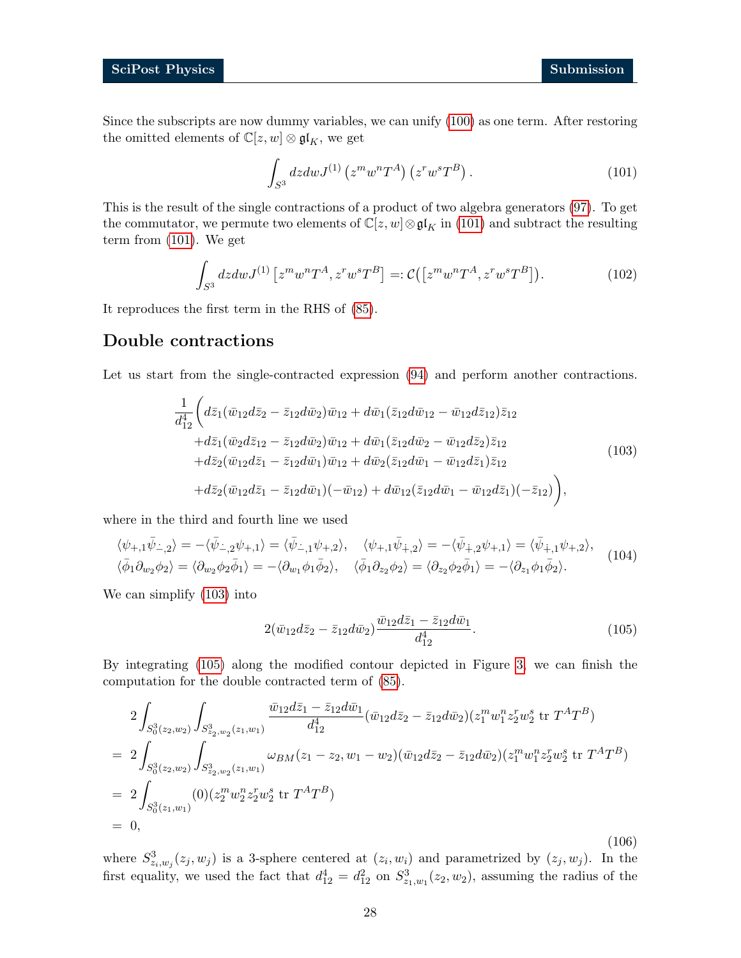Since the subscripts are now dummy variables, we can unify [\(100\)](#page-26-6) as one term. After restoring the omitted elements of  $\mathbb{C}[z,w]\otimes\mathfrak{gl}_K,$  we get

<span id="page-27-0"></span>
$$
\int_{S^3} dz dw J^{(1)} \left( z^m w^n T^A \right) \left( z^r w^s T^B \right). \tag{101}
$$

This is the result of the single contractions of a product of two algebra generators [\(97\)](#page-26-1). To get the commutator, we permute two elements of  $\mathbb{C}[z, w] \otimes \mathfrak{gl}_K$  in [\(101\)](#page-27-0) and subtract the resulting term from [\(101\)](#page-27-0). We get

<span id="page-27-3"></span>
$$
\int_{S^3} dz dw J^{(1)} \left[ z^m w^n T^A, z^r w^s T^B \right] =: \mathcal{C} \left( \left[ z^m w^n T^A, z^r w^s T^B \right] \right). \tag{102}
$$

It reproduces the first term in the RHS of [\(85\)](#page-25-2).

### Double contractions

<span id="page-27-1"></span>Let us start from the single-contracted expression  $(94)$  and perform another contractions.

$$
\frac{1}{d_{12}^{4}} \bigg( d\bar{z}_{1} (\bar{w}_{12} d\bar{z}_{2} - \bar{z}_{12} d\bar{w}_{2}) \bar{w}_{12} + d\bar{w}_{1} (\bar{z}_{12} d\bar{w}_{12} - \bar{w}_{12} d\bar{z}_{12}) \bar{z}_{12} \n+ d\bar{z}_{1} (\bar{w}_{2} d\bar{z}_{12} - \bar{z}_{12} d\bar{w}_{2}) \bar{w}_{12} + d\bar{w}_{1} (\bar{z}_{12} d\bar{w}_{2} - \bar{w}_{12} d\bar{z}_{2}) \bar{z}_{12} \n+ d\bar{z}_{2} (\bar{w}_{12} d\bar{z}_{1} - \bar{z}_{12} d\bar{w}_{1}) \bar{w}_{12} + d\bar{w}_{2} (\bar{z}_{12} d\bar{w}_{1} - \bar{w}_{12} d\bar{z}_{1}) \bar{z}_{12} \n+ d\bar{z}_{2} (\bar{w}_{12} d\bar{z}_{1} - \bar{z}_{12} d\bar{w}_{1}) (-\bar{w}_{12}) + d\bar{w}_{12} (\bar{z}_{12} d\bar{w}_{1} - \bar{w}_{12} d\bar{z}_{1}) (-\bar{z}_{12}) \bigg), \tag{103}
$$

where in the third and fourth line we used

$$
\langle \psi_{+,1}\bar{\psi}_{-,2}\rangle = -\langle \bar{\psi}_{-,2}\psi_{+,1}\rangle = \langle \bar{\psi}_{-,1}\psi_{+,2}\rangle, \quad \langle \psi_{+,1}\bar{\psi}_{+,2}\rangle = -\langle \bar{\psi}_{+,2}\psi_{+,1}\rangle = \langle \bar{\psi}_{+,1}\psi_{+,2}\rangle, \n\langle \bar{\phi}_1 \partial_{w_2} \phi_2 \rangle = \langle \partial_{w_2} \phi_2 \bar{\phi}_1 \rangle = -\langle \partial_{w_1} \phi_1 \bar{\phi}_2 \rangle, \quad \langle \bar{\phi}_1 \partial_{z_2} \phi_2 \rangle = \langle \partial_{z_2} \phi_2 \bar{\phi}_1 \rangle = -\langle \partial_{z_1} \phi_1 \bar{\phi}_2 \rangle.
$$
\n(104)

We can simplify [\(103\)](#page-27-1) into

<span id="page-27-2"></span>
$$
2(\bar{w}_{12}d\bar{z}_2 - \bar{z}_{12}d\bar{w}_2)\frac{\bar{w}_{12}d\bar{z}_1 - \bar{z}_{12}d\bar{w}_1}{d_{12}^4}.
$$
\n(105)

By integrating [\(105\)](#page-27-2) along the modified contour depicted in Figure [3,](#page-19-1) we can finish the computation for the double contracted term of [\(85\)](#page-25-2).

$$
2\int_{S_0^3(z_2,w_2)} \int_{S_{z_2,w_2}^3(z_1,w_1)} \frac{\bar{w}_{12}d\bar{z}_1 - \bar{z}_{12}d\bar{w}_1}{d_{12}^4} (\bar{w}_{12}d\bar{z}_2 - \bar{z}_{12}d\bar{w}_2)(z_1^m w_1^n z_2^r w_2^s \text{ tr } T^A T^B)
$$
  
\n
$$
= 2\int_{S_0^3(z_2,w_2)} \int_{S_{z_2,w_2}^3(z_1,w_1)} \omega_{BM}(z_1 - z_2, w_1 - w_2)(\bar{w}_{12}d\bar{z}_2 - \bar{z}_{12}d\bar{w}_2)(z_1^m w_1^n z_2^r w_2^s \text{ tr } T^A T^B)
$$
  
\n
$$
= 2\int_{S_0^3(z_1,w_1)} (0)(z_2^m w_2^n z_2^r w_2^s \text{ tr } T^A T^B)
$$
  
\n
$$
= 0,
$$

where  $S^3_{z_i,w_j}(z_j,w_j)$  is a 3-sphere centered at  $(z_i,w_i)$  and parametrized by  $(z_j,w_j)$ . In the first equality, we used the fact that  $d_{12}^4 = d_{12}^2$  on  $S_{z_1,w_1}^3(z_2, w_2)$ , assuming the radius of the

(106)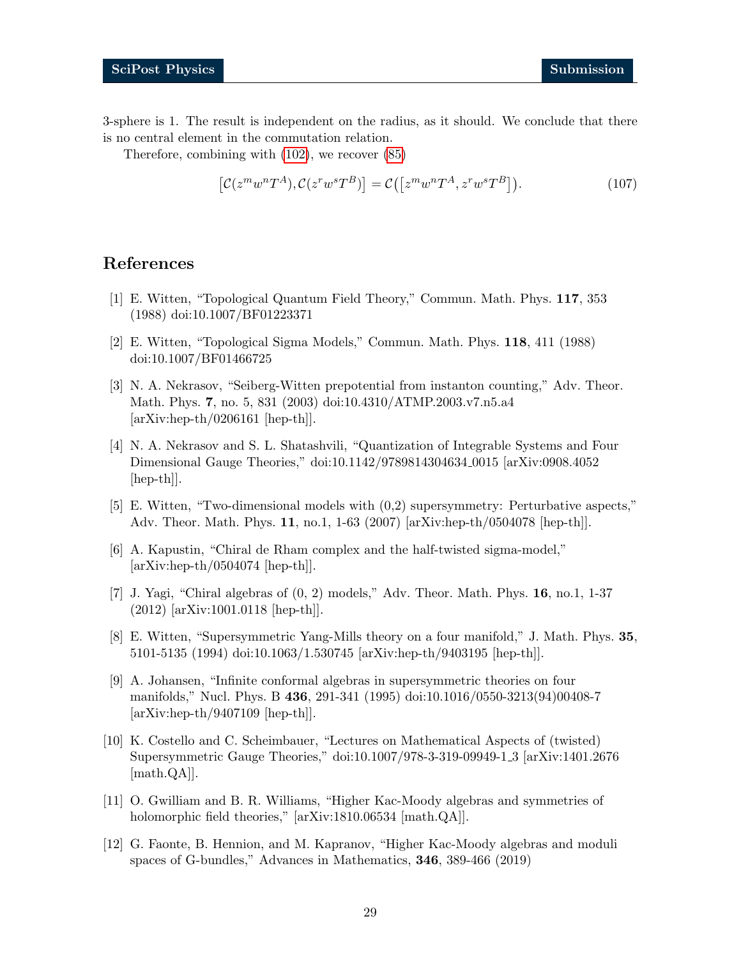3-sphere is 1. The result is independent on the radius, as it should. We conclude that there is no central element in the commutation relation.

Therefore, combining with [\(102\)](#page-27-3), we recover [\(85\)](#page-25-2)

<span id="page-28-0"></span>
$$
\left[\mathcal{C}(z^m w^n T^A), \mathcal{C}(z^r w^s T^B)\right] = \mathcal{C}\left(\left[z^m w^n T^A, z^r w^s T^B\right]\right). \tag{107}
$$

### References

- <span id="page-28-1"></span>[1] E. Witten, "Topological Quantum Field Theory," Commun. Math. Phys. 117, 353 (1988) doi:10.1007/BF01223371
- <span id="page-28-2"></span>[2] E. Witten, "Topological Sigma Models," Commun. Math. Phys. 118, 411 (1988) doi:10.1007/BF01466725
- <span id="page-28-3"></span>[3] N. A. Nekrasov, "Seiberg-Witten prepotential from instanton counting," Adv. Theor. Math. Phys. 7, no. 5, 831 (2003) doi:10.4310/ATMP.2003.v7.n5.a4 [arXiv:hep-th/0206161 [hep-th]].
- <span id="page-28-4"></span>[4] N. A. Nekrasov and S. L. Shatashvili, "Quantization of Integrable Systems and Four Dimensional Gauge Theories," doi:10.1142/9789814304634 0015 [arXiv:0908.4052 [hep-th]].
- <span id="page-28-5"></span>[5] E. Witten, "Two-dimensional models with (0,2) supersymmetry: Perturbative aspects," Adv. Theor. Math. Phys. 11, no.1, 1-63 (2007) [arXiv:hep-th/0504078 [hep-th]].
- [6] A. Kapustin, "Chiral de Rham complex and the half-twisted sigma-model,"  $[\text{arXiv:hep-th}/0504074$   $[\text{hep-th}]]$ .
- <span id="page-28-6"></span>[7] J. Yagi, "Chiral algebras of (0, 2) models," Adv. Theor. Math. Phys. 16, no.1, 1-37 (2012) [arXiv:1001.0118 [hep-th]].
- <span id="page-28-7"></span>[8] E. Witten, "Supersymmetric Yang-Mills theory on a four manifold," J. Math. Phys. 35, 5101-5135 (1994) doi:10.1063/1.530745 [arXiv:hep-th/9403195 [hep-th]].
- <span id="page-28-11"></span>[9] A. Johansen, "Infinite conformal algebras in supersymmetric theories on four manifolds," Nucl. Phys. B 436, 291-341 (1995) doi:10.1016/0550-3213(94)00408-7 [arXiv:hep-th/9407109 [hep-th]].
- <span id="page-28-8"></span>[10] K. Costello and C. Scheimbauer, "Lectures on Mathematical Aspects of (twisted) Supersymmetric Gauge Theories," doi:10.1007/978-3-319-09949-1 3 [arXiv:1401.2676 [math.QA]].
- <span id="page-28-9"></span>[11] O. Gwilliam and B. R. Williams, "Higher Kac-Moody algebras and symmetries of holomorphic field theories," [arXiv:1810.06534 [math.QA]].
- <span id="page-28-10"></span>[12] G. Faonte, B. Hennion, and M. Kapranov, "Higher Kac-Moody algebras and moduli spaces of G-bundles," Advances in Mathematics, 346, 389-466 (2019)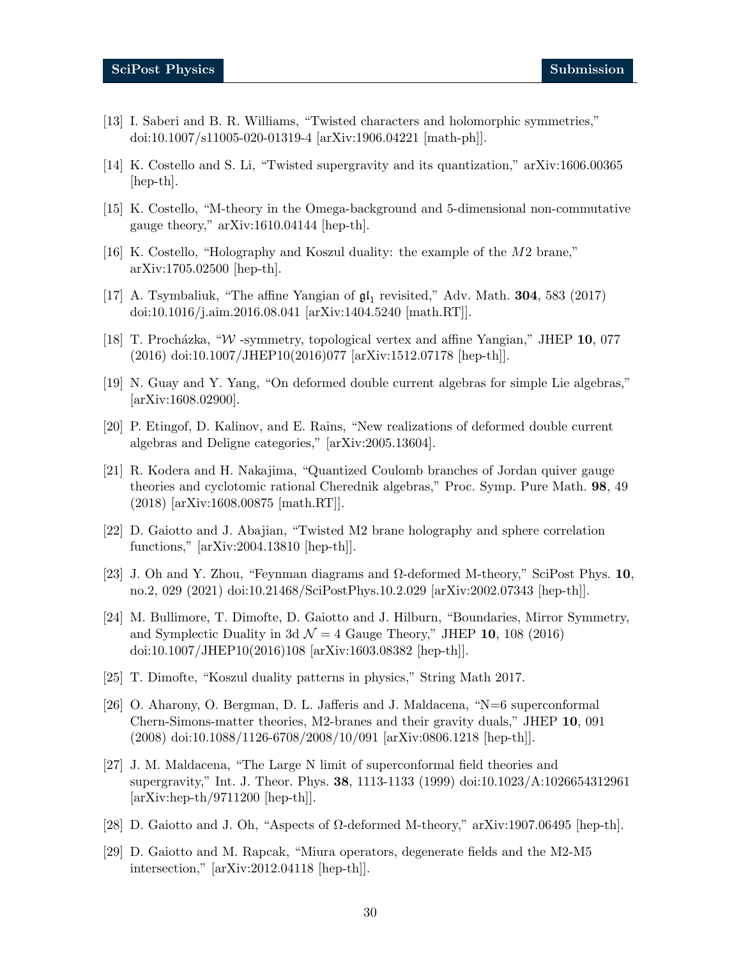- <span id="page-29-0"></span>[13] I. Saberi and B. R. Williams, "Twisted characters and holomorphic symmetries," doi:10.1007/s11005-020-01319-4 [arXiv:1906.04221 [math-ph]].
- <span id="page-29-1"></span>[14] K. Costello and S. Li, "Twisted supergravity and its quantization," arXiv:1606.00365 [hep-th].
- <span id="page-29-2"></span>[15] K. Costello, "M-theory in the Omega-background and 5-dimensional non-commutative gauge theory," arXiv:1610.04144 [hep-th].
- <span id="page-29-3"></span>[16] K. Costello, "Holography and Koszul duality: the example of the M2 brane," arXiv:1705.02500 [hep-th].
- <span id="page-29-4"></span>[17] A. Tsymbaliuk, "The affine Yangian of  $\mathfrak{gl}_1$  revisited," Adv. Math. **304**, 583 (2017) doi:10.1016/j.aim.2016.08.041 [arXiv:1404.5240 [math.RT]].
- <span id="page-29-5"></span>[18] T. Procházka, "W -symmetry, topological vertex and affine Yangian," JHEP 10, 077 (2016) doi:10.1007/JHEP10(2016)077 [arXiv:1512.07178 [hep-th]].
- <span id="page-29-6"></span>[19] N. Guay and Y. Yang, "On deformed double current algebras for simple Lie algebras," [arXiv:1608.02900].
- [20] P. Etingof, D. Kalinov, and E. Rains, "New realizations of deformed double current algebras and Deligne categories," [arXiv:2005.13604].
- [21] R. Kodera and H. Nakajima, "Quantized Coulomb branches of Jordan quiver gauge theories and cyclotomic rational Cherednik algebras," Proc. Symp. Pure Math. 98, 49 (2018) [arXiv:1608.00875 [math.RT]].
- <span id="page-29-14"></span>[22] D. Gaiotto and J. Abajian, "Twisted M2 brane holography and sphere correlation functions," [arXiv:2004.13810 [hep-th]].
- <span id="page-29-7"></span>[23] J. Oh and Y. Zhou, "Feynman diagrams and  $\Omega$ -deformed M-theory," SciPost Phys. 10, no.2, 029 (2021) doi:10.21468/SciPostPhys.10.2.029 [arXiv:2002.07343 [hep-th]].
- <span id="page-29-11"></span>[24] M. Bullimore, T. Dimofte, D. Gaiotto and J. Hilburn, "Boundaries, Mirror Symmetry, and Symplectic Duality in 3d  $\mathcal{N} = 4$  Gauge Theory," JHEP 10, 108 (2016) doi:10.1007/JHEP10(2016)108 [arXiv:1603.08382 [hep-th]].
- <span id="page-29-12"></span>[25] T. Dimofte, "Koszul duality patterns in physics," String Math 2017.
- <span id="page-29-8"></span>[26] O. Aharony, O. Bergman, D. L. Jafferis and J. Maldacena, "N=6 superconformal Chern-Simons-matter theories, M2-branes and their gravity duals," JHEP 10, 091 (2008) doi:10.1088/1126-6708/2008/10/091 [arXiv:0806.1218 [hep-th]].
- <span id="page-29-9"></span>[27] J. M. Maldacena, "The Large N limit of superconformal field theories and supergravity," Int. J. Theor. Phys. 38, 1113-1133 (1999) doi:10.1023/A:1026654312961 [arXiv:hep-th/9711200 [hep-th]].
- <span id="page-29-10"></span>[28] D. Gaiotto and J. Oh, "Aspects of Ω-deformed M-theory," arXiv:1907.06495 [hep-th].
- <span id="page-29-13"></span>[29] D. Gaiotto and M. Rapcak, "Miura operators, degenerate fields and the M2-M5 intersection," [arXiv:2012.04118 [hep-th]].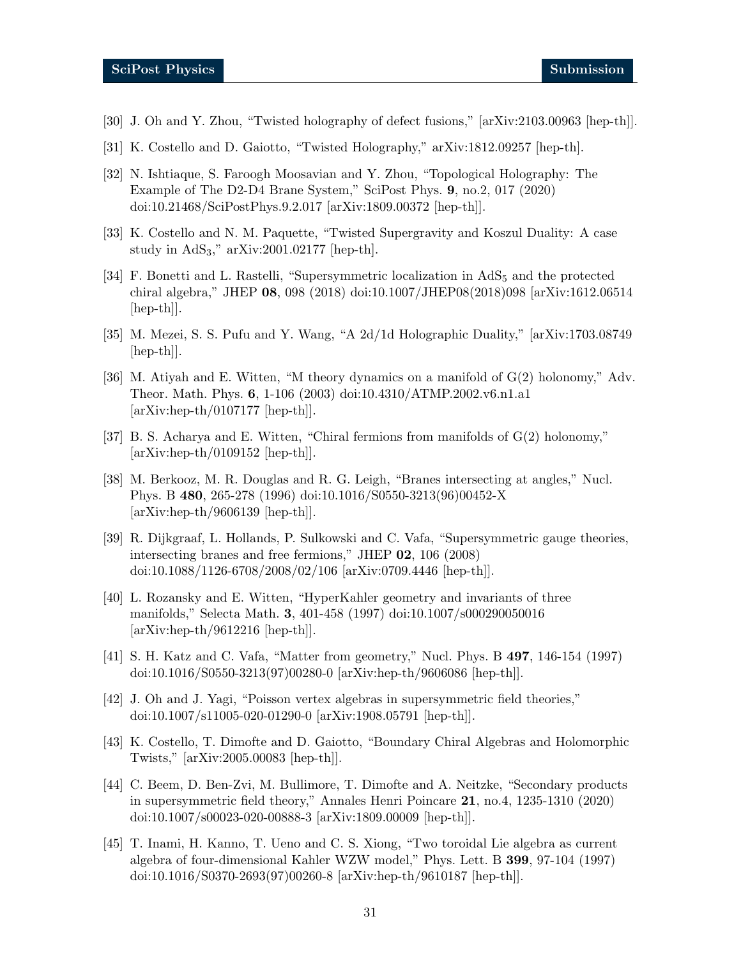- <span id="page-30-0"></span>[30] J. Oh and Y. Zhou, "Twisted holography of defect fusions," [arXiv:2103.00963 [hep-th]].
- <span id="page-30-1"></span>[31] K. Costello and D. Gaiotto, "Twisted Holography," arXiv:1812.09257 [hep-th].
- <span id="page-30-2"></span>[32] N. Ishtiaque, S. Faroogh Moosavian and Y. Zhou, "Topological Holography: The Example of The D2-D4 Brane System," SciPost Phys. 9, no.2, 017 (2020) doi:10.21468/SciPostPhys.9.2.017 [arXiv:1809.00372 [hep-th]].
- <span id="page-30-3"></span>[33] K. Costello and N. M. Paquette, "Twisted Supergravity and Koszul Duality: A case study in  $AdS_3$ ," arXiv:2001.02177 [hep-th].
- <span id="page-30-4"></span>[34] F. Bonetti and L. Rastelli, "Supersymmetric localization in  $AdS_5$  and the protected chiral algebra," JHEP 08, 098 (2018) doi:10.1007/JHEP08(2018)098 [arXiv:1612.06514 [hep-th]].
- <span id="page-30-5"></span>[35] M. Mezei, S. S. Pufu and Y. Wang, "A 2d/1d Holographic Duality," [arXiv:1703.08749 [hep-th]].
- <span id="page-30-6"></span>[36] M. Atiyah and E. Witten, "M theory dynamics on a manifold of G(2) holonomy," Adv. Theor. Math. Phys. 6, 1-106 (2003) doi:10.4310/ATMP.2002.v6.n1.a1  $[\text{arXiv:hep-th}/0107177 \text{ [hep-th]}.$
- <span id="page-30-7"></span>[37] B. S. Acharya and E. Witten, "Chiral fermions from manifolds of  $G(2)$  holonomy," [arXiv:hep-th/0109152 [hep-th]].
- <span id="page-30-8"></span>[38] M. Berkooz, M. R. Douglas and R. G. Leigh, "Branes intersecting at angles," Nucl. Phys. B 480, 265-278 (1996) doi:10.1016/S0550-3213(96)00452-X [arXiv:hep-th/9606139 [hep-th]].
- <span id="page-30-15"></span>[39] R. Dijkgraaf, L. Hollands, P. Sulkowski and C. Vafa, "Supersymmetric gauge theories, intersecting branes and free fermions," JHEP 02, 106 (2008) doi:10.1088/1126-6708/2008/02/106 [arXiv:0709.4446 [hep-th]].
- <span id="page-30-9"></span>[40] L. Rozansky and E. Witten, "HyperKahler geometry and invariants of three manifolds," Selecta Math. 3, 401-458 (1997) doi:10.1007/s000290050016  $[\text{arXiv:hep-th}/9612216$   $[\text{hep-th}]]$ .
- <span id="page-30-10"></span>[41] S. H. Katz and C. Vafa, "Matter from geometry," Nucl. Phys. B 497, 146-154 (1997) doi:10.1016/S0550-3213(97)00280-0 [arXiv:hep-th/9606086 [hep-th]].
- <span id="page-30-12"></span>[42] J. Oh and J. Yagi, "Poisson vertex algebras in supersymmetric field theories," doi:10.1007/s11005-020-01290-0 [arXiv:1908.05791 [hep-th]].
- <span id="page-30-11"></span>[43] K. Costello, T. Dimofte and D. Gaiotto, "Boundary Chiral Algebras and Holomorphic Twists," [arXiv:2005.00083 [hep-th]].
- <span id="page-30-13"></span>[44] C. Beem, D. Ben-Zvi, M. Bullimore, T. Dimofte and A. Neitzke, "Secondary products in supersymmetric field theory," Annales Henri Poincare 21, no.4, 1235-1310 (2020) doi:10.1007/s00023-020-00888-3 [arXiv:1809.00009 [hep-th]].
- <span id="page-30-14"></span>[45] T. Inami, H. Kanno, T. Ueno and C. S. Xiong, "Two toroidal Lie algebra as current algebra of four-dimensional Kahler WZW model," Phys. Lett. B 399, 97-104 (1997) doi:10.1016/S0370-2693(97)00260-8 [arXiv:hep-th/9610187 [hep-th]].